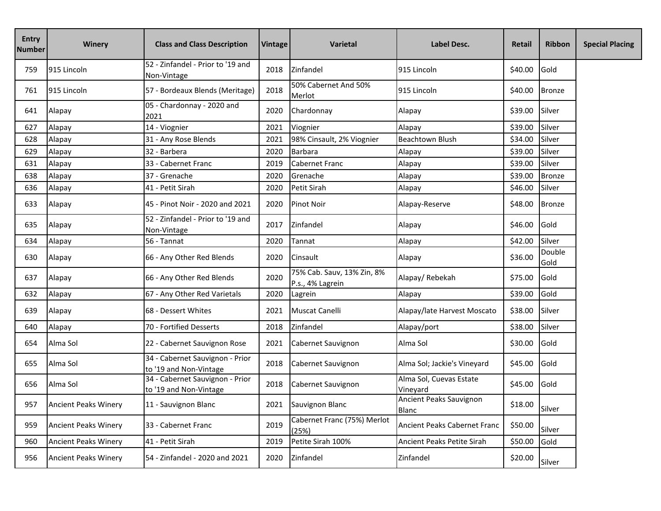| <b>Entry</b><br><b>Number</b> | <b>Winery</b>               | <b>Class and Class Description</b>                        | Vintage | Varietal                                       | <b>Label Desc.</b>                  | <b>Retail</b> | <b>Ribbon</b>  | <b>Special Placing</b> |
|-------------------------------|-----------------------------|-----------------------------------------------------------|---------|------------------------------------------------|-------------------------------------|---------------|----------------|------------------------|
| 759                           | 915 Lincoln                 | 52 - Zinfandel - Prior to '19 and<br>Non-Vintage          | 2018    | <b>Zinfandel</b>                               | 915 Lincoln                         | \$40.00       | Gold           |                        |
| 761                           | 915 Lincoln                 | 57 - Bordeaux Blends (Meritage)                           | 2018    | 50% Cabernet And 50%<br>Merlot                 | 915 Lincoln                         | \$40.00       | <b>Bronze</b>  |                        |
| 641                           | Alapay                      | 05 - Chardonnay - 2020 and<br>2021                        | 2020    | Chardonnay                                     | Alapay                              | \$39.00       | Silver         |                        |
| 627                           | Alapay                      | 14 - Viognier                                             | 2021    | Viognier                                       | Alapay                              | \$39.00       | Silver         |                        |
| 628                           | Alapay                      | 31 - Any Rose Blends                                      | 2021    | 98% Cinsault, 2% Viognier                      | <b>Beachtown Blush</b>              | \$34.00       | Silver         |                        |
| 629                           | Alapay                      | 32 - Barbera                                              | 2020    | <b>Barbara</b>                                 | Alapay                              | \$39.00       | Silver         |                        |
| 631                           | Alapay                      | 33 - Cabernet Franc                                       | 2019    | <b>Cabernet Franc</b>                          | Alapay                              | \$39.00       | Silver         |                        |
| 638                           | Alapay                      | 37 - Grenache                                             | 2020    | Grenache                                       | Alapay                              | \$39.00       | <b>Bronze</b>  |                        |
| 636                           | Alapay                      | 41 - Petit Sirah                                          | 2020    | Petit Sirah                                    | Alapay                              | \$46.00       | Silver         |                        |
| 633                           | Alapay                      | 45 - Pinot Noir - 2020 and 2021                           | 2020    | <b>Pinot Noir</b>                              | Alapay-Reserve                      | \$48.00       | <b>Bronze</b>  |                        |
| 635                           | Alapay                      | 52 - Zinfandel - Prior to '19 and<br>Non-Vintage          | 2017    | Zinfandel                                      | Alapay                              | \$46.00       | Gold           |                        |
| 634                           | Alapay                      | 56 - Tannat                                               | 2020    | Tannat                                         | Alapay                              | \$42.00       | Silver         |                        |
| 630                           | Alapay                      | 66 - Any Other Red Blends                                 | 2020    | Cinsault                                       | Alapay                              | \$36.00       | Double<br>Gold |                        |
| 637                           | Alapay                      | 66 - Any Other Red Blends                                 | 2020    | 75% Cab. Sauv, 13% Zin, 8%<br>P.s., 4% Lagrein | Alapay/Rebekah                      | \$75.00       | Gold           |                        |
| 632                           | Alapay                      | 67 - Any Other Red Varietals                              | 2020    | Lagrein                                        | Alapay                              | \$39.00       | Gold           |                        |
| 639                           | Alapay                      | 68 - Dessert Whites                                       | 2021    | Muscat Canelli                                 | Alapay/late Harvest Moscato         | \$38.00       | Silver         |                        |
| 640                           | Alapay                      | 70 - Fortified Desserts                                   | 2018    | Zinfandel                                      | Alapay/port                         | \$38.00       | Silver         |                        |
| 654                           | Alma Sol                    | 22 - Cabernet Sauvignon Rose                              | 2021    | Cabernet Sauvignon                             | Alma Sol                            | \$30.00       | Gold           |                        |
| 655                           | Alma Sol                    | 34 - Cabernet Sauvignon - Prior<br>to '19 and Non-Vintage | 2018    | Cabernet Sauvignon                             | Alma Sol; Jackie's Vineyard         | \$45.00       | Gold           |                        |
| 656                           | Alma Sol                    | 34 - Cabernet Sauvignon - Prior<br>to '19 and Non-Vintage | 2018    | Cabernet Sauvignon                             | Alma Sol, Cuevas Estate<br>Vineyard | \$45.00       | Gold           |                        |
| 957                           | <b>Ancient Peaks Winery</b> | 11 - Sauvignon Blanc                                      | 2021    | Sauvignon Blanc                                | Ancient Peaks Sauvignon<br>Blanc    | \$18.00       | Silver         |                        |
| 959                           | <b>Ancient Peaks Winery</b> | 33 - Cabernet Franc                                       | 2019    | Cabernet Franc (75%) Merlot<br>(25%)           | Ancient Peaks Cabernet Franc        | \$50.00       | Silver         |                        |
| 960                           | <b>Ancient Peaks Winery</b> | 41 - Petit Sirah                                          | 2019    | Petite Sirah 100%                              | Ancient Peaks Petite Sirah          | \$50.00       | Gold           |                        |
| 956                           | <b>Ancient Peaks Winery</b> | 54 - Zinfandel - 2020 and 2021                            | 2020    | Zinfandel                                      | Zinfandel                           | \$20.00       | Silver         |                        |
|                               |                             |                                                           |         |                                                |                                     |               |                |                        |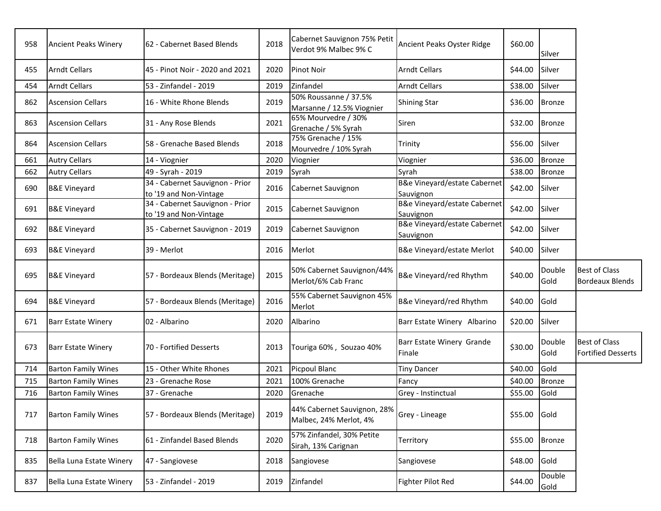| 958 | <b>Ancient Peaks Winery</b> | 62 - Cabernet Based Blends                                | 2018 | Cabernet Sauvignon 75% Petit<br>Verdot 9% Malbec 9% C | Ancient Peaks Oyster Ridge                           | \$60.00 | Silver         |                                                   |
|-----|-----------------------------|-----------------------------------------------------------|------|-------------------------------------------------------|------------------------------------------------------|---------|----------------|---------------------------------------------------|
| 455 | <b>Arndt Cellars</b>        | 45 - Pinot Noir - 2020 and 2021                           | 2020 | <b>Pinot Noir</b>                                     | <b>Arndt Cellars</b>                                 | \$44.00 | Silver         |                                                   |
| 454 | <b>Arndt Cellars</b>        | 53 - Zinfandel - 2019                                     | 2019 | Zinfandel                                             | <b>Arndt Cellars</b>                                 | \$38.00 | Silver         |                                                   |
| 862 | <b>Ascension Cellars</b>    | 16 - White Rhone Blends                                   | 2019 | 50% Roussanne / 37.5%<br>Marsanne / 12.5% Viognier    | <b>Shining Star</b>                                  | \$36.00 | <b>Bronze</b>  |                                                   |
| 863 | <b>Ascension Cellars</b>    | 31 - Any Rose Blends                                      | 2021 | 65% Mourvedre / 30%<br>Grenache / 5% Syrah            | Siren                                                | \$32.00 | <b>Bronze</b>  |                                                   |
| 864 | <b>Ascension Cellars</b>    | 58 - Grenache Based Blends                                | 2018 | 75% Grenache / 15%<br>Mourvedre / 10% Syrah           | Trinity                                              | \$56.00 | Silver         |                                                   |
| 661 | <b>Autry Cellars</b>        | 14 - Viognier                                             | 2020 | Viognier                                              | Viognier                                             | \$36.00 | <b>Bronze</b>  |                                                   |
| 662 | <b>Autry Cellars</b>        | 49 - Syrah - 2019                                         | 2019 | Syrah                                                 | Syrah                                                | \$38.00 | <b>Bronze</b>  |                                                   |
| 690 | <b>B&amp;E Vineyard</b>     | 34 - Cabernet Sauvignon - Prior<br>to '19 and Non-Vintage | 2016 | Cabernet Sauvignon                                    | B&e Vineyard/estate Cabernet<br>Sauvignon            | \$42.00 | Silver         |                                                   |
| 691 | <b>B&amp;E Vineyard</b>     | 34 - Cabernet Sauvignon - Prior<br>to '19 and Non-Vintage | 2015 | Cabernet Sauvignon                                    | <b>B&amp;e Vineyard/estate Cabernet</b><br>Sauvignon | \$42.00 | Silver         |                                                   |
| 692 | <b>B&amp;E Vineyard</b>     | 35 - Cabernet Sauvignon - 2019                            | 2019 | Cabernet Sauvignon                                    | B&e Vineyard/estate Cabernet<br>Sauvignon            | \$42.00 | Silver         |                                                   |
| 693 | <b>B&amp;E Vineyard</b>     | 39 - Merlot                                               | 2016 | <b>Merlot</b>                                         | B&e Vineyard/estate Merlot                           | \$40.00 | Silver         |                                                   |
|     |                             |                                                           |      |                                                       |                                                      |         |                |                                                   |
| 695 | <b>B&amp;E Vineyard</b>     | 57 - Bordeaux Blends (Meritage)                           | 2015 | 50% Cabernet Sauvignon/44%<br>Merlot/6% Cab Franc     | B&e Vineyard/red Rhythm                              | \$40.00 | Double<br>Gold | <b>Best of Class</b><br><b>Bordeaux Blends</b>    |
| 694 | <b>B&amp;E Vineyard</b>     | 57 - Bordeaux Blends (Meritage)                           | 2016 | 55% Cabernet Sauvignon 45%<br>Merlot                  | B&e Vineyard/red Rhythm                              | \$40.00 | Gold           |                                                   |
| 671 | <b>Barr Estate Winery</b>   | 02 - Albarino                                             | 2020 | Albarino                                              | Barr Estate Winery Albarino                          | \$20.00 | Silver         |                                                   |
| 673 | <b>Barr Estate Winery</b>   | 70 - Fortified Desserts                                   | 2013 | Touriga 60%, Souzao 40%                               | Barr Estate Winery Grande<br>Finale                  | \$30.00 | Double<br>Gold | <b>Best of Class</b><br><b>Fortified Desserts</b> |
| 714 | <b>Barton Family Wines</b>  | 15 - Other White Rhones                                   | 2021 | Picpoul Blanc                                         | <b>Tiny Dancer</b>                                   | \$40.00 | Gold           |                                                   |
| 715 | <b>Barton Family Wines</b>  | 23 - Grenache Rose                                        | 2021 | 100% Grenache                                         | Fancy                                                | \$40.00 | <b>Bronze</b>  |                                                   |
| 716 | <b>Barton Family Wines</b>  | 37 - Grenache                                             | 2020 | Grenache                                              | Grey - Instinctual                                   | \$55.00 | Gold           |                                                   |
| 717 | <b>Barton Family Wines</b>  | 57 - Bordeaux Blends (Meritage)                           | 2019 | 44% Cabernet Sauvignon, 28%<br>Malbec, 24% Merlot, 4% | Grey - Lineage                                       | \$55.00 | Gold           |                                                   |
| 718 | <b>Barton Family Wines</b>  | 61 - Zinfandel Based Blends                               | 2020 | 57% Zinfandel, 30% Petite<br>Sirah, 13% Carignan      | Territory                                            | \$55.00 | <b>Bronze</b>  |                                                   |
| 835 | Bella Luna Estate Winery    | 47 - Sangiovese                                           | 2018 | Sangiovese                                            | Sangiovese                                           | \$48.00 | Gold<br>Double |                                                   |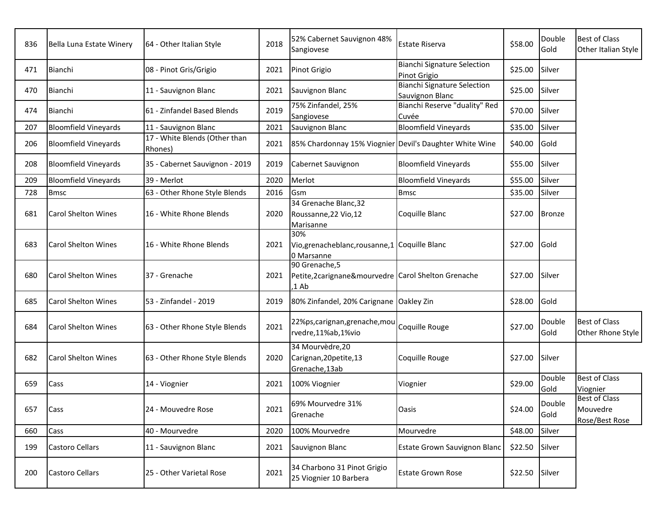| 836 | Bella Luna Estate Winery    | 64 - Other Italian Style                 | 2018 | 52% Cabernet Sauvignon 48%<br>Sangiovese                                          | <b>Estate Riserva</b>                                 | \$58.00 | Double<br>Gold | <b>Best of Class</b><br>Other Italian Style        |
|-----|-----------------------------|------------------------------------------|------|-----------------------------------------------------------------------------------|-------------------------------------------------------|---------|----------------|----------------------------------------------------|
| 471 | Bianchi                     | 08 - Pinot Gris/Grigio                   | 2021 | Pinot Grigio                                                                      | <b>Bianchi Signature Selection</b><br>Pinot Grigio    | \$25.00 | Silver         |                                                    |
| 470 | Bianchi                     | 11 - Sauvignon Blanc                     | 2021 | Sauvignon Blanc                                                                   | <b>Bianchi Signature Selection</b><br>Sauvignon Blanc | \$25.00 | Silver         |                                                    |
| 474 | Bianchi                     | 61 - Zinfandel Based Blends              | 2019 | 75% Zinfandel, 25%<br>Sangiovese                                                  | Bianchi Reserve "duality" Red<br>Cuvée                | \$70.00 | Silver         |                                                    |
| 207 | <b>Bloomfield Vineyards</b> | 11 - Sauvignon Blanc                     | 2021 | Sauvignon Blanc                                                                   | <b>Bloomfield Vineyards</b>                           | \$35.00 | Silver         |                                                    |
| 206 | <b>Bloomfield Vineyards</b> | 17 - White Blends (Other than<br>Rhones) | 2021 | 85% Chardonnay 15% Viognier Devil's Daughter White Wine                           |                                                       | \$40.00 | Gold           |                                                    |
| 208 | <b>Bloomfield Vineyards</b> | 35 - Cabernet Sauvignon - 2019           | 2019 | Cabernet Sauvignon                                                                | <b>Bloomfield Vineyards</b>                           | \$55.00 | Silver         |                                                    |
| 209 | <b>Bloomfield Vineyards</b> | 39 - Merlot                              | 2020 | Merlot                                                                            | <b>Bloomfield Vineyards</b>                           | \$55.00 | Silver         |                                                    |
| 728 | <b>Bmsc</b>                 | 63 - Other Rhone Style Blends            | 2016 | Gsm                                                                               | <b>Bmsc</b>                                           | \$35.00 | Silver         |                                                    |
| 681 | <b>Carol Shelton Wines</b>  | 16 - White Rhone Blends                  | 2020 | 34 Grenache Blanc, 32<br>Roussanne, 22 Vio, 12<br>Marisanne                       | Coquille Blanc                                        | \$27.00 | <b>Bronze</b>  |                                                    |
| 683 | <b>Carol Shelton Wines</b>  | 16 - White Rhone Blends                  | 2021 | 30%<br>Vio, grenacheblanc, rousanne, 1 Coquille Blanc<br>0 Marsanne               |                                                       | \$27.00 | Gold           |                                                    |
| 680 | <b>Carol Shelton Wines</b>  | 37 - Grenache                            | 2021 | 90 Grenache, 5<br>Petite, 2 carignane & mourvedre Carol Shelton Grenache<br>,1 Ab |                                                       | \$27.00 | Silver         |                                                    |
| 685 | <b>Carol Shelton Wines</b>  | 53 - Zinfandel - 2019                    | 2019 | 80% Zinfandel, 20% Carignane Oakley Zin                                           |                                                       | \$28.00 | Gold           |                                                    |
| 684 | <b>Carol Shelton Wines</b>  | 63 - Other Rhone Style Blends            | 2021 | 22%ps, carignan, grenache, mou<br>rvedre,11%ab,1%vio                              | Coquille Rouge                                        | \$27.00 | Double<br>Gold | <b>Best of Class</b><br>Other Rhone Style          |
| 682 | <b>Carol Shelton Wines</b>  | 63 - Other Rhone Style Blends            | 2020 | 34 Mourvèdre, 20<br>Carignan, 20petite, 13<br>Grenache, 13ab                      | Coquille Rouge                                        | \$27.00 | Silver         |                                                    |
| 659 | Cass                        | 14 - Viognier                            | 2021 | 100% Viognier                                                                     | Viognier                                              | \$29.00 | Double<br>Gold | <b>Best of Class</b><br>Viognier                   |
| 657 | Cass                        | 24 - Mouvedre Rose                       | 2021 | 69% Mourvedre 31%<br>Grenache                                                     | Oasis                                                 | \$24.00 | Double<br>Gold | <b>Best of Class</b><br>Mouvedre<br>Rose/Best Rose |
| 660 | Cass                        | 40 - Mourvedre                           | 2020 | 100% Mourvedre                                                                    | Mourvedre                                             | \$48.00 | Silver         |                                                    |
| 199 | Castoro Cellars             | 11 - Sauvignon Blanc                     | 2021 | Sauvignon Blanc                                                                   | Estate Grown Sauvignon Blanc                          | \$22.50 | Silver         |                                                    |
| 200 | <b>Castoro Cellars</b>      | 25 - Other Varietal Rose                 | 2021 | 34 Charbono 31 Pinot Grigio<br>25 Viognier 10 Barbera                             | <b>Estate Grown Rose</b>                              | \$22.50 | Silver         |                                                    |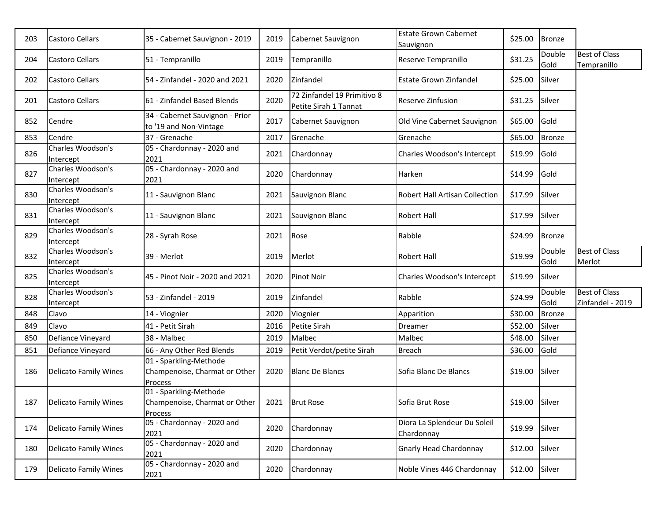| 203 | Castoro Cellars                | 35 - Cabernet Sauvignon - 2019                                                        | 2019 | Cabernet Sauvignon                                   | <b>Estate Grown Cabernet</b><br>Sauvignon  | \$25.00        | <b>Bronze</b>  |                                          |
|-----|--------------------------------|---------------------------------------------------------------------------------------|------|------------------------------------------------------|--------------------------------------------|----------------|----------------|------------------------------------------|
| 204 | Castoro Cellars                | 51 - Tempranillo                                                                      | 2019 | Tempranillo                                          | Reserve Tempranillo                        | \$31.25        | Double<br>Gold | <b>Best of Class</b><br>Tempranillo      |
| 202 | <b>Castoro Cellars</b>         | 54 - Zinfandel - 2020 and 2021                                                        | 2020 | Zinfandel                                            | <b>Estate Grown Zinfandel</b>              | \$25.00        | Silver         |                                          |
| 201 | <b>Castoro Cellars</b>         | 61 - Zinfandel Based Blends                                                           | 2020 | 72 Zinfandel 19 Primitivo 8<br>Petite Sirah 1 Tannat | <b>Reserve Zinfusion</b>                   | \$31.25        | Silver         |                                          |
| 852 | Cendre                         | 34 - Cabernet Sauvignon - Prior<br>to '19 and Non-Vintage                             | 2017 | Cabernet Sauvignon                                   | Old Vine Cabernet Sauvignon                | \$65.00        | Gold           |                                          |
| 853 | Cendre                         | 37 - Grenache                                                                         | 2017 | Grenache                                             | Grenache                                   | \$65.00        | <b>Bronze</b>  |                                          |
| 826 | Charles Woodson's<br>Intercept | 05 - Chardonnay - 2020 and<br>2021                                                    | 2021 | Chardonnay                                           | Charles Woodson's Intercept                | \$19.99        | Gold           |                                          |
| 827 | Charles Woodson's<br>Intercept | 05 - Chardonnay - 2020 and<br>2021                                                    | 2020 | Chardonnay                                           | Harken                                     | \$14.99        | Gold           |                                          |
| 830 | Charles Woodson's<br>Intercept | 11 - Sauvignon Blanc                                                                  | 2021 | Sauvignon Blanc                                      | Robert Hall Artisan Collection             | \$17.99        | Silver         |                                          |
| 831 | Charles Woodson's<br>Intercept | 11 - Sauvignon Blanc                                                                  | 2021 | Sauvignon Blanc                                      | <b>Robert Hall</b>                         | \$17.99        | Silver         |                                          |
| 829 | Charles Woodson's<br>Intercept | 28 - Syrah Rose                                                                       | 2021 | Rose                                                 | Rabble                                     | \$24.99        | <b>Bronze</b>  |                                          |
| 832 | Charles Woodson's<br>Intercept | 39 - Merlot                                                                           | 2019 | Merlot                                               | <b>Robert Hall</b>                         | \$19.99        | Double<br>Gold | <b>Best of Class</b><br>Merlot           |
| 825 | Charles Woodson's<br>Intercept | 45 - Pinot Noir - 2020 and 2021                                                       | 2020 | <b>Pinot Noir</b>                                    | Charles Woodson's Intercept                | \$19.99        | Silver         |                                          |
| 828 | Charles Woodson's<br>Intercept | 53 - Zinfandel - 2019                                                                 | 2019 | Zinfandel                                            | Rabble                                     | \$24.99        | Double<br>Gold | <b>Best of Class</b><br>Zinfandel - 2019 |
| 848 | Clavo                          | 14 - Viognier                                                                         | 2020 | Viognier                                             | Apparition                                 | \$30.00        | <b>Bronze</b>  |                                          |
| 849 | Clavo                          | 41 - Petit Sirah                                                                      | 2016 | Petite Sirah                                         | <b>Dreamer</b>                             | \$52.00        | Silver         |                                          |
| 850 | Defiance Vineyard              | 38 - Malbec                                                                           | 2019 | Malbec                                               | Malbec                                     | \$48.00        | Silver         |                                          |
| 851 | Defiance Vineyard              | 66 - Any Other Red Blends                                                             | 2019 | Petit Verdot/petite Sirah                            | <b>Breach</b>                              | \$36.00        | Gold           |                                          |
| 186 | <b>Delicato Family Wines</b>   | 01 - Sparkling-Methode<br>Champenoise, Charmat or Other<br>Process                    | 2020 | <b>Blanc De Blancs</b>                               | Sofia Blanc De Blancs                      | \$19.00        | Silver         |                                          |
| 187 | Delicato Family Wines          | 01 - Sparkling-Methode<br>Champenoise, Charmat or Other   2021   Brut Rose<br>Process |      |                                                      | Sofia Brut Rose                            | \$19.00 Silver |                |                                          |
| 174 | <b>Delicato Family Wines</b>   | 05 - Chardonnay - 2020 and<br>2021                                                    | 2020 | Chardonnay                                           | Diora La Splendeur Du Soleil<br>Chardonnay | \$19.99        | Silver         |                                          |
| 180 | <b>Delicato Family Wines</b>   | 05 - Chardonnay - 2020 and<br>2021                                                    | 2020 | Chardonnay                                           | Gnarly Head Chardonnay                     | \$12.00        | Silver         |                                          |
| 179 | Delicato Family Wines          | 05 - Chardonnay - 2020 and<br>2021                                                    | 2020 | Chardonnay                                           | Noble Vines 446 Chardonnay                 | \$12.00        | Silver         |                                          |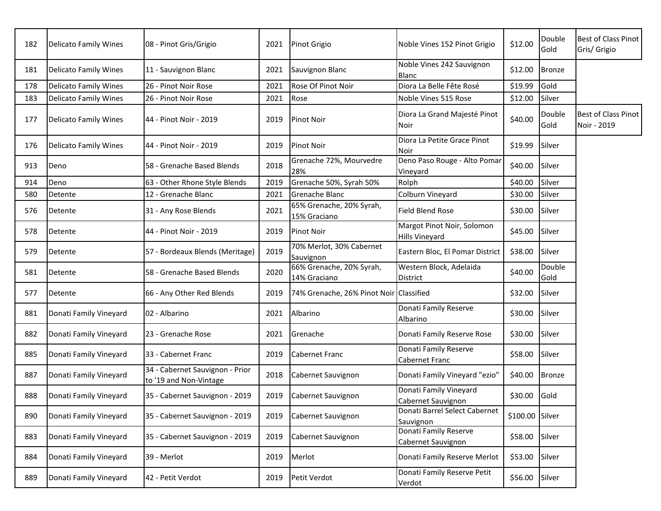| 182 | <b>Delicato Family Wines</b> | 08 - Pinot Gris/Grigio                                    | 2021 | Pinot Grigio                             | Noble Vines 152 Pinot Grigio                        | \$12.00         | Double<br>Gold | Best of Class Pinot<br>Gris/ Grigio |
|-----|------------------------------|-----------------------------------------------------------|------|------------------------------------------|-----------------------------------------------------|-----------------|----------------|-------------------------------------|
| 181 | <b>Delicato Family Wines</b> | 11 - Sauvignon Blanc                                      | 2021 | Sauvignon Blanc                          | Noble Vines 242 Sauvignon<br>Blanc                  | \$12.00         | <b>Bronze</b>  |                                     |
| 178 | <b>Delicato Family Wines</b> | 26 - Pinot Noir Rose                                      | 2021 | Rose Of Pinot Noir                       | Diora La Belle Fête Rosé                            | \$19.99         | Gold           |                                     |
| 183 | <b>Delicato Family Wines</b> | 26 - Pinot Noir Rose                                      | 2021 | Rose                                     | Noble Vines 515 Rose                                | \$12.00         | Silver         |                                     |
| 177 | <b>Delicato Family Wines</b> | 44 - Pinot Noir - 2019                                    | 2019 | <b>Pinot Noir</b>                        | Diora La Grand Majesté Pinot<br>Noir                | \$40.00         | Double<br>Gold | Best of Class Pinot<br>Noir - 2019  |
| 176 | <b>Delicato Family Wines</b> | 44 - Pinot Noir - 2019                                    | 2019 | <b>Pinot Noir</b>                        | Diora La Petite Grace Pinot<br>Noir                 | \$19.99         | Silver         |                                     |
| 913 | Deno                         | 58 - Grenache Based Blends                                | 2018 | Grenache 72%, Mourvedre<br>28%           | Deno Paso Rouge - Alto Pomar<br>Vineyard            | \$40.00         | Silver         |                                     |
| 914 | Deno                         | 63 - Other Rhone Style Blends                             | 2019 | Grenache 50%, Syrah 50%                  | Rolph                                               | \$40.00         | Silver         |                                     |
| 580 | Detente                      | 12 - Grenache Blanc                                       | 2021 | Grenache Blanc                           | Colburn Vineyard                                    | \$30.00         | Silver         |                                     |
| 576 | Detente                      | 31 - Any Rose Blends                                      | 2021 | 65% Grenache, 20% Syrah,<br>15% Graciano | <b>Field Blend Rose</b>                             | \$30.00         | Silver         |                                     |
| 578 | Detente                      | 44 - Pinot Noir - 2019                                    | 2019 | Pinot Noir                               | Margot Pinot Noir, Solomon<br><b>Hills Vineyard</b> | \$45.00         | Silver         |                                     |
| 579 | Detente                      | 57 - Bordeaux Blends (Meritage)                           | 2019 | 70% Merlot, 30% Cabernet<br>Sauvignon    | Eastern Bloc, El Pomar District                     | \$38.00         | Silver         |                                     |
| 581 | Detente                      | 58 - Grenache Based Blends                                | 2020 | 66% Grenache, 20% Syrah,<br>14% Graciano | Western Block, Adelaida<br>District                 | \$40.00         | Double<br>Gold |                                     |
| 577 | Detente                      | 66 - Any Other Red Blends                                 | 2019 | 74% Grenache, 26% Pinot Noir Classified  |                                                     | \$32.00         | Silver         |                                     |
| 881 | Donati Family Vineyard       | 02 - Albarino                                             | 2021 | Albarino                                 | Donati Family Reserve<br>Albarino                   | \$30.00         | Silver         |                                     |
| 882 | Donati Family Vineyard       | 23 - Grenache Rose                                        | 2021 | Grenache                                 | Donati Family Reserve Rose                          | \$30.00         | Silver         |                                     |
| 885 | Donati Family Vineyard       | 33 - Cabernet Franc                                       | 2019 | <b>Cabernet Franc</b>                    | Donati Family Reserve<br>Cabernet Franc             | \$58.00         | Silver         |                                     |
| 887 | Donati Family Vineyard       | 34 - Cabernet Sauvignon - Prior<br>to '19 and Non-Vintage | 2018 | Cabernet Sauvignon                       | Donati Family Vineyard "ezio"                       | \$40.00         | <b>Bronze</b>  |                                     |
| 888 | Donati Family Vineyard       | 35 - Cabernet Sauvignon - 2019                            | 2019 | Cabernet Sauvignon                       | Donati Family Vineyard<br>Cabernet Sauvignon        | \$30.00         | Gold           |                                     |
| 890 | Donati Family Vineyard       | 35 - Cabernet Sauvignon - 2019                            | 2019 | Cabernet Sauvignon                       | Donati Barrel Select Cabernet<br>Sauvignon          | \$100.00 Silver |                |                                     |
| 883 | Donati Family Vineyard       | 35 - Cabernet Sauvignon - 2019                            | 2019 | Cabernet Sauvignon                       | Donati Family Reserve<br>Cabernet Sauvignon         | \$58.00         | Silver         |                                     |
| 884 | Donati Family Vineyard       | 39 - Merlot                                               | 2019 | Merlot                                   | Donati Family Reserve Merlot                        | \$53.00         | Silver         |                                     |
| 889 | Donati Family Vineyard       | 42 - Petit Verdot                                         | 2019 | Petit Verdot                             | Donati Family Reserve Petit<br>Verdot               | \$56.00 Silver  |                |                                     |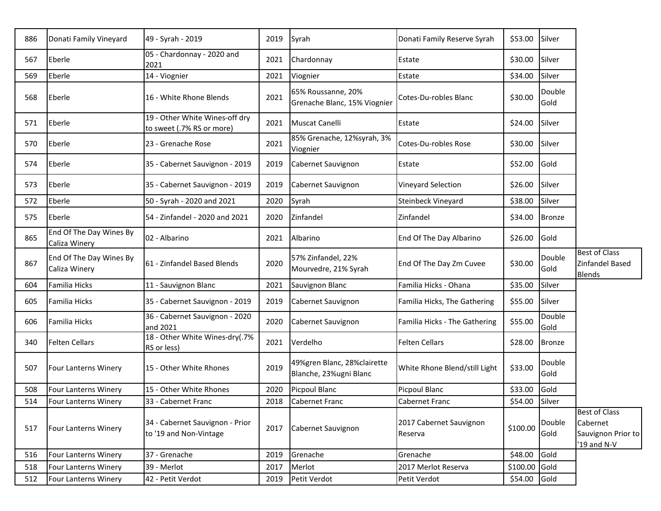| 886 | Donati Family Vineyard                   | 49 - Syrah - 2019                                           | 2019 | Syrah                                                 | Donati Family Reserve Syrah        | \$53.00  | Silver         |                                                                       |
|-----|------------------------------------------|-------------------------------------------------------------|------|-------------------------------------------------------|------------------------------------|----------|----------------|-----------------------------------------------------------------------|
| 567 | Eberle                                   | 05 - Chardonnay - 2020 and<br>2021                          | 2021 | Chardonnay                                            | Estate                             | \$30.00  | Silver         |                                                                       |
| 569 | Eberle                                   | 14 - Viognier                                               | 2021 | Viognier                                              | Estate                             | \$34.00  | Silver         |                                                                       |
| 568 | Eberle                                   | 16 - White Rhone Blends                                     | 2021 | 65% Roussanne, 20%<br>Grenache Blanc, 15% Viognier    | Cotes-Du-robles Blanc              | \$30.00  | Double<br>Gold |                                                                       |
| 571 | Eberle                                   | 19 - Other White Wines-off dry<br>to sweet (.7% RS or more) | 2021 | Muscat Canelli                                        | Estate                             | \$24.00  | Silver         |                                                                       |
| 570 | Eberle                                   | 23 - Grenache Rose                                          | 2021 | 85% Grenache, 12%syrah, 3%<br>Viognier                | Cotes-Du-robles Rose               | \$30.00  | Silver         |                                                                       |
| 574 | Eberle                                   | 35 - Cabernet Sauvignon - 2019                              | 2019 | Cabernet Sauvignon                                    | Estate                             | \$52.00  | Gold           |                                                                       |
| 573 | Eberle                                   | 35 - Cabernet Sauvignon - 2019                              | 2019 | Cabernet Sauvignon                                    | Vineyard Selection                 | \$26.00  | Silver         |                                                                       |
| 572 | Eberle                                   | 50 - Syrah - 2020 and 2021                                  | 2020 | Syrah                                                 | Steinbeck Vineyard                 | \$38.00  | Silver         |                                                                       |
| 575 | Eberle                                   | 54 - Zinfandel - 2020 and 2021                              | 2020 | Zinfandel                                             | Zinfandel                          | \$34.00  | <b>Bronze</b>  |                                                                       |
| 865 | End Of The Day Wines By<br>Caliza Winery | 02 - Albarino                                               | 2021 | Albarino                                              | End Of The Day Albarino            | \$26.00  | Gold           |                                                                       |
| 867 | End Of The Day Wines By<br>Caliza Winery | 61 - Zinfandel Based Blends                                 | 2020 | 57% Zinfandel, 22%<br>Mourvedre, 21% Syrah            | End Of The Day Zm Cuvee            | \$30.00  | Double<br>Gold | <b>Best of Class</b><br>Zinfandel Based<br><b>Blends</b>              |
| 604 | Familia Hicks                            | 11 - Sauvignon Blanc                                        | 2021 | Sauvignon Blanc                                       | Familia Hicks - Ohana              | \$35.00  | Silver         |                                                                       |
| 605 | Familia Hicks                            | 35 - Cabernet Sauvignon - 2019                              | 2019 | Cabernet Sauvignon                                    | Familia Hicks, The Gathering       | \$55.00  | Silver         |                                                                       |
| 606 | Familia Hicks                            | 36 - Cabernet Sauvignon - 2020<br>and 2021                  | 2020 | Cabernet Sauvignon                                    | Familia Hicks - The Gathering      | \$55.00  | Double<br>Gold |                                                                       |
| 340 | <b>Felten Cellars</b>                    | 18 - Other White Wines-dry(.7%<br>RS or less)               | 2021 | Verdelho                                              | <b>Felten Cellars</b>              | \$28.00  | <b>Bronze</b>  |                                                                       |
| 507 | Four Lanterns Winery                     | 15 - Other White Rhones                                     | 2019 | 49%gren Blanc, 28%clairette<br>Blanche, 23%ugni Blanc | White Rhone Blend/still Light      | \$33.00  | Double<br>Gold |                                                                       |
| 508 | <b>Four Lanterns Winery</b>              | 15 - Other White Rhones                                     | 2020 | Picpoul Blanc                                         | Picpoul Blanc                      | \$33.00  | Gold           |                                                                       |
| 514 | Four Lanterns Winery                     | 33 - Cabernet Franc                                         | 2018 | Cabernet Franc                                        | Cabernet Franc                     | \$54.00  | Silver         |                                                                       |
| 517 | Four Lanterns Winery                     | 34 - Cabernet Sauvignon - Prior<br>to '19 and Non-Vintage   | 2017 | Cabernet Sauvignon                                    | 2017 Cabernet Sauvignon<br>Reserva | \$100.00 | Double<br>Gold | <b>Best of Class</b><br>Cabernet<br>Sauvignon Prior to<br>'19 and N-V |
| 516 | Four Lanterns Winery                     | 37 - Grenache                                               | 2019 | Grenache                                              | Grenache                           | \$48.00  | Gold           |                                                                       |
| 518 | Four Lanterns Winery                     | 39 - Merlot                                                 | 2017 | Merlot                                                | 2017 Merlot Reserva                | \$100.00 | Gold           |                                                                       |
| 512 | Four Lanterns Winery                     | 42 - Petit Verdot                                           | 2019 | Petit Verdot                                          | Petit Verdot                       | \$54.00  | Gold           |                                                                       |

٦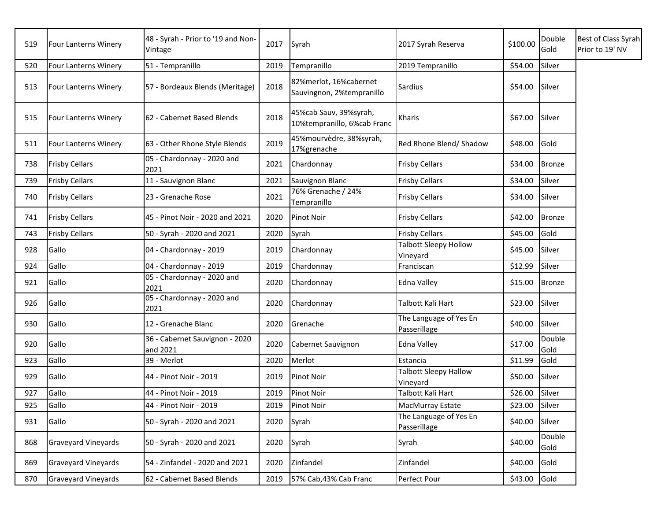| 519 | Four Lanterns Winery        | 48 - Syrah - Prior to '19 and Non-<br>Vintage | 2017 | Syrah                                                 | 2017 Syrah Reserva                       | \$100.00       | Double<br>Gold | Best of Class Syrah<br>Prior to 19' NV |
|-----|-----------------------------|-----------------------------------------------|------|-------------------------------------------------------|------------------------------------------|----------------|----------------|----------------------------------------|
| 520 | Four Lanterns Winery        | 51 - Tempranillo                              | 2019 | Tempranillo                                           | 2019 Tempranillo                         | \$54.00        | Silver         |                                        |
| 513 | Four Lanterns Winery        | 57 - Bordeaux Blends (Meritage)               | 2018 | 82%merlot, 16%cabernet<br>Sauvingnon, 2%tempranillo   | <b>Sardius</b>                           | \$54.00        | Silver         |                                        |
| 515 | <b>Four Lanterns Winery</b> | 62 - Cabernet Based Blends                    | 2018 | 45%cab Sauv, 39%syrah,<br>10%tempranillo, 6%cab Franc | Kharis                                   | \$67.00        | Silver         |                                        |
| 511 | <b>Four Lanterns Winery</b> | 63 - Other Rhone Style Blends                 | 2019 | 45%mourvèdre, 38%syrah,<br>17%grenache                | Red Rhone Blend/ Shadow                  | \$48.00        | Gold           |                                        |
| 738 | <b>Frisby Cellars</b>       | 05 - Chardonnay - 2020 and<br>2021            | 2021 | Chardonnay                                            | <b>Frisby Cellars</b>                    | \$34.00        | <b>Bronze</b>  |                                        |
| 739 | <b>Frisby Cellars</b>       | 11 - Sauvignon Blanc                          | 2021 | Sauvignon Blanc                                       | <b>Frisby Cellars</b>                    | \$34.00        | Silver         |                                        |
| 740 | <b>Frisby Cellars</b>       | 23 - Grenache Rose                            | 2021 | 76% Grenache / 24%<br>Tempranillo                     | <b>Frisby Cellars</b>                    | \$34.00        | Silver         |                                        |
| 741 | <b>Frisby Cellars</b>       | 45 - Pinot Noir - 2020 and 2021               | 2020 | <b>Pinot Noir</b>                                     | <b>Frisby Cellars</b>                    | \$42.00        | <b>Bronze</b>  |                                        |
| 743 | <b>Frisby Cellars</b>       | 50 - Syrah - 2020 and 2021                    | 2020 | Syrah                                                 | <b>Frisby Cellars</b>                    | \$45.00        | Gold           |                                        |
| 928 | Gallo                       | 04 - Chardonnay - 2019                        | 2019 | Chardonnay                                            | <b>Talbott Sleepy Hollow</b><br>Vineyard | \$45.00        | Silver         |                                        |
| 924 | Gallo                       | 04 - Chardonnay - 2019                        | 2019 | Chardonnay                                            | Franciscan                               | \$12.99        | Silver         |                                        |
| 921 | Gallo                       | 05 - Chardonnay - 2020 and<br>2021            | 2020 | Chardonnay                                            | <b>Edna Valley</b>                       | \$15.00        | <b>Bronze</b>  |                                        |
| 926 | Gallo                       | 05 - Chardonnay - 2020 and<br>2021            | 2020 | Chardonnay                                            | Talbott Kali Hart                        | \$23.00        | Silver         |                                        |
| 930 | Gallo                       | 12 - Grenache Blanc                           | 2020 | Grenache                                              | The Language of Yes En<br>Passerillage   | \$40.00        | Silver         |                                        |
| 920 | Gallo                       | 36 - Cabernet Sauvignon - 2020<br>and 2021    | 2020 | Cabernet Sauvignon                                    | Edna Valley                              | \$17.00        | Double<br>Gold |                                        |
| 923 | Gallo                       | 39 - Merlot                                   | 2020 | Merlot                                                | Estancia                                 | \$11.99        | Gold           |                                        |
| 929 | Gallo                       | 44 - Pinot Noir - 2019                        | 2019 | <b>Pinot Noir</b>                                     | <b>Talbott Sleepy Hallow</b><br>Vineyard | \$50.00        | Silver         |                                        |
| 927 | Gallo                       | 44 - Pinot Noir - 2019                        | 2019 | Pinot Noir                                            | Talbott Kali Hart                        | \$26.00        | Silver         |                                        |
| 925 | Gallo                       | 44 - Pinot Noir - 2019                        | 2019 | Pinot Noir                                            | MacMurray Estate                         | \$23.00 Silver |                |                                        |
| 931 | Gallo                       | 50 - Syrah - 2020 and 2021                    | 2020 | Syrah                                                 | The Language of Yes En<br>Passerillage   | \$40.00        | Silver         |                                        |
| 868 | <b>Graveyard Vineyards</b>  | 50 - Syrah - 2020 and 2021                    | 2020 | Syrah                                                 | Syrah                                    | \$40.00        | Double<br>Gold |                                        |
| 869 | <b>Graveyard Vineyards</b>  | 54 - Zinfandel - 2020 and 2021                | 2020 | Zinfandel                                             | Zinfandel                                | \$40.00        | Gold           |                                        |
| 870 | <b>Graveyard Vineyards</b>  | 62 - Cabernet Based Blends                    | 2019 | 57% Cab, 43% Cab Franc                                | Perfect Pour                             | \$43.00        | Gold           |                                        |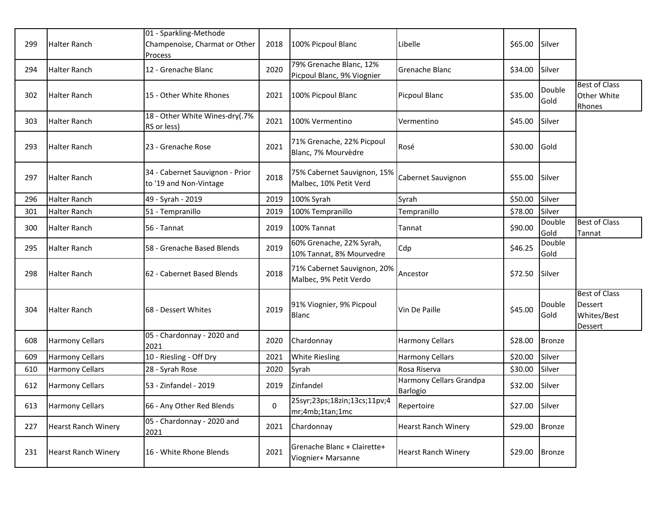| 299 | Halter Ranch               | 01 - Sparkling-Methode<br>Champenoise, Charmat or Other   | 2018 | 100% Picpoul Blanc                                    | Libelle                             | \$65.00        | Silver         |                                                                  |
|-----|----------------------------|-----------------------------------------------------------|------|-------------------------------------------------------|-------------------------------------|----------------|----------------|------------------------------------------------------------------|
| 294 | <b>Halter Ranch</b>        | <b>Process</b><br>12 - Grenache Blanc                     | 2020 | 79% Grenache Blanc, 12%<br>Picpoul Blanc, 9% Viognier | Grenache Blanc                      | \$34.00        | Silver         |                                                                  |
| 302 | Halter Ranch               | 15 - Other White Rhones                                   | 2021 | 100% Picpoul Blanc                                    | Picpoul Blanc                       | \$35.00        | Double<br>Gold | <b>Best of Class</b><br>Other White<br>Rhones                    |
| 303 | Halter Ranch               | 18 - Other White Wines-dry(.7%<br>RS or less)             | 2021 | 100% Vermentino                                       | Vermentino                          | \$45.00        | Silver         |                                                                  |
| 293 | <b>Halter Ranch</b>        | 23 - Grenache Rose                                        | 2021 | 71% Grenache, 22% Picpoul<br>Blanc, 7% Mourvèdre      | <b>Rosé</b>                         | \$30.00        | Gold           |                                                                  |
| 297 | <b>Halter Ranch</b>        | 34 - Cabernet Sauvignon - Prior<br>to '19 and Non-Vintage | 2018 | 75% Cabernet Sauvignon, 15%<br>Malbec, 10% Petit Verd | Cabernet Sauvignon                  | \$55.00        | Silver         |                                                                  |
| 296 | <b>Halter Ranch</b>        | 49 - Syrah - 2019                                         | 2019 | 100% Syrah                                            | Syrah                               | \$50.00        | Silver         |                                                                  |
| 301 | Halter Ranch               | 51 - Tempranillo                                          | 2019 | 100% Tempranillo                                      | Tempranillo                         | \$78.00        | Silver         |                                                                  |
| 300 | <b>Halter Ranch</b>        | 56 - Tannat                                               | 2019 | 100% Tannat                                           | Tannat                              | \$90.00        | Double<br>Gold | <b>Best of Class</b><br>Tannat                                   |
| 295 | Halter Ranch               | 58 - Grenache Based Blends                                | 2019 | 60% Grenache, 22% Syrah,<br>10% Tannat, 8% Mourvedre  | Cdp                                 | \$46.25        | Double<br>Gold |                                                                  |
| 298 | Halter Ranch               | 62 - Cabernet Based Blends                                | 2018 | 71% Cabernet Sauvignon, 20%<br>Malbec, 9% Petit Verdo | Ancestor                            | \$72.50        | Silver         |                                                                  |
| 304 | <b>Halter Ranch</b>        | 68 - Dessert Whites                                       | 2019 | 91% Viognier, 9% Picpoul<br>Blanc                     | Vin De Paille                       | \$45.00        | Double<br>Gold | <b>Best of Class</b><br>Dessert<br>Whites/Best<br><b>Dessert</b> |
| 608 | <b>Harmony Cellars</b>     | 05 - Chardonnay - 2020 and<br>2021                        | 2020 | Chardonnay                                            | <b>Harmony Cellars</b>              | \$28.00        | <b>Bronze</b>  |                                                                  |
| 609 | <b>Harmony Cellars</b>     | 10 - Riesling - Off Dry                                   | 2021 | <b>White Riesling</b>                                 | <b>Harmony Cellars</b>              | \$20.00        | Silver         |                                                                  |
| 610 | <b>Harmony Cellars</b>     | 28 - Syrah Rose                                           | 2020 | Syrah                                                 | Rosa Riserva                        | \$30.00        | Silver         |                                                                  |
| 612 | <b>Harmony Cellars</b>     | 53 - Zinfandel - 2019                                     | 2019 | Zinfandel                                             | Harmony Cellars Grandpa<br>Barlogio | \$32.00        | Silver         |                                                                  |
| 613 | <b>Harmony Cellars</b>     | 66 - Any Other Red Blends                                 | 0    | 25syr;23ps;18zin;13cs;11pv;4<br>mr;4mb;1tan;1mc       | Repertoire                          | \$27.00 Silver |                |                                                                  |
| 227 | <b>Hearst Ranch Winery</b> | 05 - Chardonnay - 2020 and<br>2021                        | 2021 | Chardonnay                                            | <b>Hearst Ranch Winery</b>          | \$29.00        | <b>Bronze</b>  |                                                                  |
| 231 | <b>Hearst Ranch Winery</b> | 16 - White Rhone Blends                                   | 2021 | Grenache Blanc + Clairette+<br>Viognier+ Marsanne     | <b>Hearst Ranch Winery</b>          | \$29.00        | <b>Bronze</b>  |                                                                  |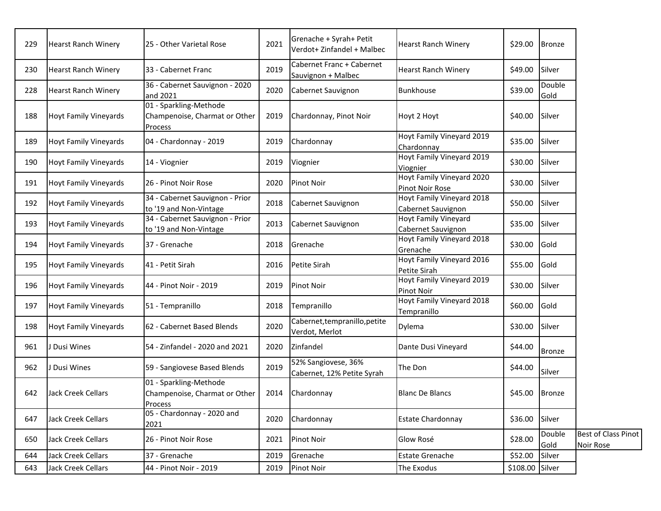| 229 | <b>Hearst Ranch Winery</b>   | 25 - Other Varietal Rose                                                  | 2021 | Grenache + Syrah+ Petit<br>Verdot+ Zinfandel + Malbec | <b>Hearst Ranch Winery</b>                      | \$29.00         | <b>Bronze</b>  |                                  |
|-----|------------------------------|---------------------------------------------------------------------------|------|-------------------------------------------------------|-------------------------------------------------|-----------------|----------------|----------------------------------|
| 230 | <b>Hearst Ranch Winery</b>   | 33 - Cabernet Franc                                                       | 2019 | Cabernet Franc + Cabernet<br>Sauvignon + Malbec       | <b>Hearst Ranch Winery</b>                      | \$49.00         | Silver         |                                  |
| 228 | <b>Hearst Ranch Winery</b>   | 36 - Cabernet Sauvignon - 2020<br>and 2021                                | 2020 | Cabernet Sauvignon                                    | <b>Bunkhouse</b>                                | \$39.00         | Double<br>Gold |                                  |
| 188 | Hoyt Family Vineyards        | 01 - Sparkling-Methode<br>Champenoise, Charmat or Other<br><b>Process</b> | 2019 | Chardonnay, Pinot Noir                                | Hoyt 2 Hoyt                                     | \$40.00         | Silver         |                                  |
| 189 | <b>Hoyt Family Vineyards</b> | 04 - Chardonnay - 2019                                                    | 2019 | Chardonnay                                            | Hoyt Family Vineyard 2019<br>Chardonnay         | \$35.00         | Silver         |                                  |
| 190 | <b>Hoyt Family Vineyards</b> | 14 - Viognier                                                             | 2019 | Viognier                                              | Hoyt Family Vineyard 2019<br>Viognier           | \$30.00         | Silver         |                                  |
| 191 | <b>Hoyt Family Vineyards</b> | 26 - Pinot Noir Rose                                                      | 2020 | <b>Pinot Noir</b>                                     | Hoyt Family Vineyard 2020<br>Pinot Noir Rose    | \$30.00         | Silver         |                                  |
| 192 | <b>Hoyt Family Vineyards</b> | 34 - Cabernet Sauvignon - Prior<br>to '19 and Non-Vintage                 | 2018 | Cabernet Sauvignon                                    | Hoyt Family Vineyard 2018<br>Cabernet Sauvignon | \$50.00         | Silver         |                                  |
| 193 | <b>Hoyt Family Vineyards</b> | 34 - Cabernet Sauvignon - Prior<br>to '19 and Non-Vintage                 | 2013 | Cabernet Sauvignon                                    | Hoyt Family Vineyard<br>Cabernet Sauvignon      | \$35.00         | Silver         |                                  |
| 194 | <b>Hoyt Family Vineyards</b> | 37 - Grenache                                                             | 2018 | Grenache                                              | Hoyt Family Vineyard 2018<br>Grenache           | \$30.00         | Gold           |                                  |
| 195 | <b>Hoyt Family Vineyards</b> | 41 - Petit Sirah                                                          | 2016 | Petite Sirah                                          | Hoyt Family Vineyard 2016<br>Petite Sirah       | \$55.00         | Gold           |                                  |
| 196 | <b>Hoyt Family Vineyards</b> | 44 - Pinot Noir - 2019                                                    | 2019 | <b>Pinot Noir</b>                                     | Hoyt Family Vineyard 2019<br>Pinot Noir         | \$30.00         | Silver         |                                  |
| 197 | <b>Hoyt Family Vineyards</b> | 51 - Tempranillo                                                          | 2018 | Tempranillo                                           | Hoyt Family Vineyard 2018<br>Tempranillo        | \$60.00         | Gold           |                                  |
| 198 | <b>Hoyt Family Vineyards</b> | 62 - Cabernet Based Blends                                                | 2020 | Cabernet, tempranillo, petite<br>Verdot, Merlot       | Dylema                                          | \$30.00         | Silver         |                                  |
| 961 | Dusi Wines                   | 54 - Zinfandel - 2020 and 2021                                            | 2020 | Zinfandel                                             | Dante Dusi Vineyard                             | \$44.00         | <b>Bronze</b>  |                                  |
| 962 | Dusi Wines                   | 59 - Sangiovese Based Blends                                              | 2019 | 52% Sangiovese, 36%<br>Cabernet, 12% Petite Syrah     | The Don                                         | \$44.00         | Silver         |                                  |
| 642 | Jack Creek Cellars           | 01 - Sparkling-Methode<br>Champenoise, Charmat or Other<br>Process        | 2014 | Chardonnay                                            | <b>Blanc De Blancs</b>                          | \$45.00         | Bronze         |                                  |
| 647 | <b>Jack Creek Cellars</b>    | 05 - Chardonnay - 2020 and<br>2021                                        | 2020 | Chardonnay                                            | <b>Estate Chardonnay</b>                        | \$36.00         | Silver         |                                  |
| 650 | Jack Creek Cellars           | 26 - Pinot Noir Rose                                                      | 2021 | Pinot Noir                                            | Glow Rosé                                       | \$28.00         | Double<br>Gold | Best of Class Pinot<br>Noir Rose |
| 644 | Jack Creek Cellars           | 37 - Grenache                                                             | 2019 | Grenache                                              | <b>Estate Grenache</b>                          | \$52.00         | Silver         |                                  |
| 643 | Jack Creek Cellars           | 44 - Pinot Noir - 2019                                                    | 2019 | Pinot Noir                                            | The Exodus                                      | \$108.00 Silver |                |                                  |
|     |                              |                                                                           |      |                                                       |                                                 |                 |                |                                  |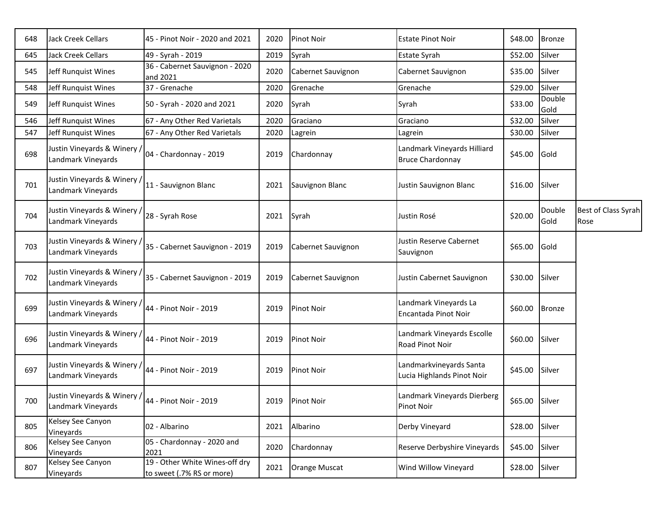| 648 | <b>Jack Creek Cellars</b>                        | 45 - Pinot Noir - 2020 and 2021                             | 2020 | <b>Pinot Noir</b>  | <b>Estate Pinot Noir</b>                               | \$48.00        | <b>Bronze</b>  |                             |
|-----|--------------------------------------------------|-------------------------------------------------------------|------|--------------------|--------------------------------------------------------|----------------|----------------|-----------------------------|
| 645 | <b>Jack Creek Cellars</b>                        | 49 - Syrah - 2019                                           | 2019 | Syrah              | <b>Estate Syrah</b>                                    | \$52.00        | Silver         |                             |
| 545 | Jeff Runquist Wines                              | 36 - Cabernet Sauvignon - 2020<br>and 2021                  | 2020 | Cabernet Sauvignon | Cabernet Sauvignon                                     | \$35.00        | Silver         |                             |
| 548 | Jeff Runquist Wines                              | 37 - Grenache                                               | 2020 | Grenache           | Grenache                                               | \$29.00        | Silver         |                             |
| 549 | Jeff Runquist Wines                              | 50 - Syrah - 2020 and 2021                                  | 2020 | Syrah              | Syrah                                                  | \$33.00        | Double<br>Gold |                             |
| 546 | Jeff Runquist Wines                              | 67 - Any Other Red Varietals                                | 2020 | Graciano           | Graciano                                               | \$32.00        | Silver         |                             |
| 547 | Jeff Runquist Wines                              | 67 - Any Other Red Varietals                                | 2020 | Lagrein            | Lagrein                                                | \$30.00        | Silver         |                             |
| 698 | Justin Vineyards & Winery,<br>Landmark Vineyards | 04 - Chardonnay - 2019                                      | 2019 | Chardonnay         | Landmark Vineyards Hilliard<br><b>Bruce Chardonnay</b> | \$45.00        | Gold           |                             |
| 701 | Justin Vineyards & Winery<br>Landmark Vineyards  | 11 - Sauvignon Blanc                                        | 2021 | Sauvignon Blanc    | Justin Sauvignon Blanc                                 | \$16.00        | Silver         |                             |
| 704 | Justin Vineyards & Winery<br>Landmark Vineyards  | 28 - Syrah Rose                                             | 2021 | Syrah              | Justin Rosé                                            | \$20.00        | Double<br>Gold | Best of Class Syrah<br>Rose |
| 703 | Justin Vineyards & Winery<br>Landmark Vineyards  | 35 - Cabernet Sauvignon - 2019                              | 2019 | Cabernet Sauvignon | Justin Reserve Cabernet<br>Sauvignon                   | \$65.00        | Gold           |                             |
| 702 | Justin Vineyards & Winery<br>Landmark Vineyards  | 35 - Cabernet Sauvignon - 2019                              | 2019 | Cabernet Sauvignon | Justin Cabernet Sauvignon                              | \$30.00        | Silver         |                             |
| 699 | Justin Vineyards & Winery<br>Landmark Vineyards  | 44 - Pinot Noir - 2019                                      | 2019 | <b>Pinot Noir</b>  | Landmark Vineyards La<br>Encantada Pinot Noir          | \$60.00        | <b>Bronze</b>  |                             |
| 696 | Justin Vineyards & Winery,<br>Landmark Vineyards | 44 - Pinot Noir - 2019                                      | 2019 | <b>Pinot Noir</b>  | Landmark Vineyards Escolle<br>Road Pinot Noir          | \$60.00        | Silver         |                             |
| 697 | Justin Vineyards & Winery<br>Landmark Vineyards  | 44 - Pinot Noir - 2019                                      | 2019 | Pinot Noir         | Landmarkvineyards Santa<br>Lucia Highlands Pinot Noir  | \$45.00        | Silver         |                             |
| 700 | Justin Vineyards & Winery<br>Landmark Vineyards  | 44 - Pinot Noir - 2019                                      |      | 2019 Pinot Noir    | Landmark Vineyards Dierberg<br>Pinot Noir              | \$65.00 Silver |                |                             |
| 805 | Kelsey See Canyon<br>Vineyards                   | 02 - Albarino                                               | 2021 | Albarino           | Derby Vineyard                                         | \$28.00        | Silver         |                             |
| 806 | Kelsey See Canyon<br>Vineyards                   | 05 - Chardonnay - 2020 and<br>2021                          | 2020 | Chardonnay         | Reserve Derbyshire Vineyards                           | \$45.00        | Silver         |                             |
| 807 | Kelsey See Canyon<br>Vineyards                   | 19 - Other White Wines-off dry<br>to sweet (.7% RS or more) | 2021 | Orange Muscat      | Wind Willow Vineyard                                   | \$28.00 Silver |                |                             |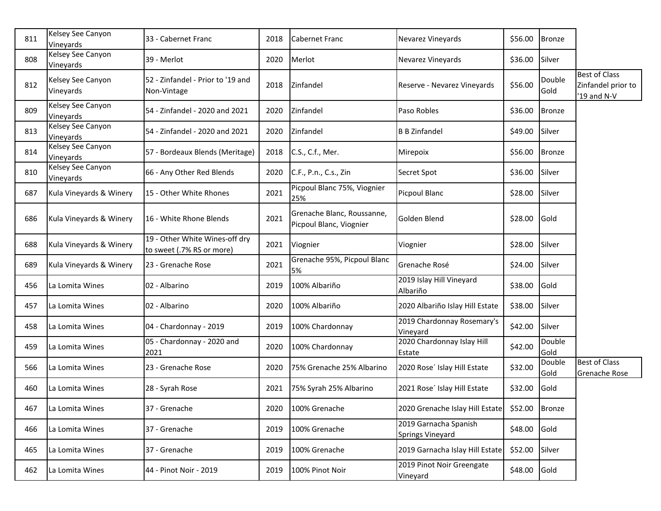| 811 | Kelsey See Canyon<br>Vineyards | 33 - Cabernet Franc                                         | 2018 | Cabernet Franc                                        | Nevarez Vineyards                                | \$56.00      | <b>Bronze</b>  |                                                           |
|-----|--------------------------------|-------------------------------------------------------------|------|-------------------------------------------------------|--------------------------------------------------|--------------|----------------|-----------------------------------------------------------|
| 808 | Kelsey See Canyon<br>Vineyards | 39 - Merlot                                                 | 2020 | Merlot                                                | Nevarez Vineyards                                | \$36.00      | Silver         |                                                           |
| 812 | Kelsey See Canyon<br>Vineyards | 52 - Zinfandel - Prior to '19 and<br>Non-Vintage            | 2018 | Zinfandel                                             | Reserve - Nevarez Vineyards                      | \$56.00      | Double<br>Gold | <b>Best of Class</b><br>Zinfandel prior to<br>'19 and N-V |
| 809 | Kelsey See Canyon<br>Vineyards | 54 - Zinfandel - 2020 and 2021                              | 2020 | Zinfandel                                             | Paso Robles                                      | \$36.00      | <b>Bronze</b>  |                                                           |
| 813 | Kelsey See Canyon<br>Vineyards | 54 - Zinfandel - 2020 and 2021                              | 2020 | Zinfandel                                             | <b>B B Zinfandel</b>                             | \$49.00      | Silver         |                                                           |
| 814 | Kelsey See Canyon<br>Vineyards | 57 - Bordeaux Blends (Meritage)                             | 2018 | C.S., C.f., Mer.                                      | Mirepoix                                         | \$56.00      | Bronze         |                                                           |
| 810 | Kelsey See Canyon<br>Vineyards | 66 - Any Other Red Blends                                   | 2020 | C.F., P.n., C.s., Zin                                 | Secret Spot                                      | \$36.00      | Silver         |                                                           |
| 687 | Kula Vineyards & Winery        | 15 - Other White Rhones                                     | 2021 | Picpoul Blanc 75%, Viognier<br>25%                    | Picpoul Blanc                                    | \$28.00      | Silver         |                                                           |
| 686 | Kula Vineyards & Winery        | 16 - White Rhone Blends                                     | 2021 | Grenache Blanc, Roussanne,<br>Picpoul Blanc, Viognier | Golden Blend                                     | \$28.00      | Gold           |                                                           |
| 688 | Kula Vineyards & Winery        | 19 - Other White Wines-off dry<br>to sweet (.7% RS or more) | 2021 | Viognier                                              | Viognier                                         | \$28.00      | Silver         |                                                           |
| 689 | Kula Vineyards & Winery        | 23 - Grenache Rose                                          | 2021 | Grenache 95%, Picpoul Blanc<br>5%                     | Grenache Rosé                                    | \$24.00      | Silver         |                                                           |
| 456 | La Lomita Wines                | 02 - Albarino                                               | 2019 | 100% Albariño                                         | 2019 Islay Hill Vineyard<br>Albariño             | \$38.00      | Gold           |                                                           |
| 457 | La Lomita Wines                | 02 - Albarino                                               | 2020 | 100% Albariño                                         | 2020 Albariño Islay Hill Estate                  | \$38.00      | Silver         |                                                           |
| 458 | La Lomita Wines                | 04 - Chardonnay - 2019                                      | 2019 | 100% Chardonnay                                       | 2019 Chardonnay Rosemary's<br>Vineyard           | \$42.00      | Silver         |                                                           |
| 459 | La Lomita Wines                | 05 - Chardonnay - 2020 and<br>2021                          | 2020 | 100% Chardonnay                                       | 2020 Chardonnay Islay Hill<br>Estate             | \$42.00      | Double<br>Gold |                                                           |
| 566 | La Lomita Wines                | 23 - Grenache Rose                                          | 2020 | 75% Grenache 25% Albarino                             | 2020 Rose' Islay Hill Estate                     | \$32.00      | Double<br>Gold | <b>Best of Class</b><br>Grenache Rose                     |
| 460 | La Lomita Wines                | 28 - Syrah Rose                                             | 2021 | 75% Syrah 25% Albarino                                | 2021 Rose' Islay Hill Estate                     | \$32.00      | Gold           |                                                           |
| 467 | La Lomita Wines                | 37 - Grenache                                               | 2020 | 100% Grenache                                         | 2020 Grenache Islay Hill Estate                  | \$52.00      | <b>Bronze</b>  |                                                           |
| 466 | La Lomita Wines                | 37 - Grenache                                               | 2019 | 100% Grenache                                         | 2019 Garnacha Spanish<br><b>Springs Vineyard</b> | \$48.00      | Gold           |                                                           |
| 465 | La Lomita Wines                | 37 - Grenache                                               | 2019 | 100% Grenache                                         | 2019 Garnacha Islay Hill Estate                  | \$52.00      | Silver         |                                                           |
| 462 | La Lomita Wines                | 44 - Pinot Noir - 2019                                      | 2019 | 100% Pinot Noir                                       | 2019 Pinot Noir Greengate<br>Vineyard            | \$48.00 Gold |                |                                                           |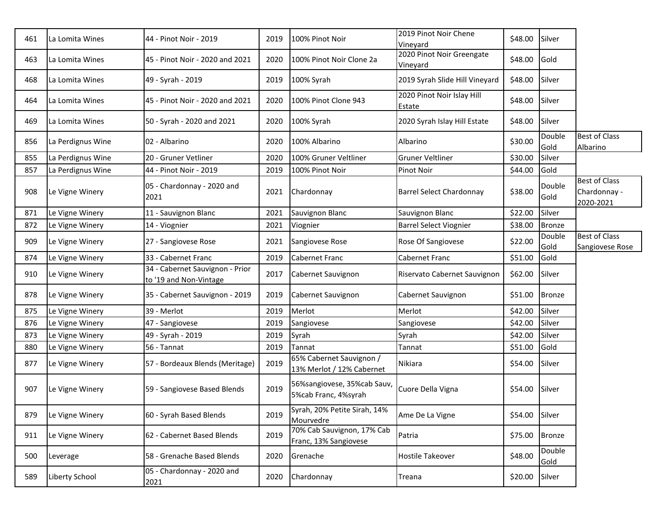| 461 | La Lomita Wines   | 44 - Pinot Noir - 2019                                    | 2019 | 100% Pinot Noir                                       | 2019 Pinot Noir Chene<br>Vineyard     | \$48.00 | Silver         |                                                   |
|-----|-------------------|-----------------------------------------------------------|------|-------------------------------------------------------|---------------------------------------|---------|----------------|---------------------------------------------------|
| 463 | La Lomita Wines   | 45 - Pinot Noir - 2020 and 2021                           | 2020 | 100% Pinot Noir Clone 2a                              | 2020 Pinot Noir Greengate<br>Vineyard | \$48.00 | Gold           |                                                   |
| 468 | La Lomita Wines   | 49 - Syrah - 2019                                         | 2019 | 100% Syrah                                            | 2019 Syrah Slide Hill Vineyard        | \$48.00 | Silver         |                                                   |
| 464 | La Lomita Wines   | 45 - Pinot Noir - 2020 and 2021                           | 2020 | 100% Pinot Clone 943                                  | 2020 Pinot Noir Islay Hill<br>Estate  | \$48.00 | Silver         |                                                   |
| 469 | La Lomita Wines   | 50 - Syrah - 2020 and 2021                                | 2020 | 100% Syrah                                            | 2020 Syrah Islay Hill Estate          | \$48.00 | Silver         |                                                   |
| 856 | La Perdignus Wine | 02 - Albarino                                             | 2020 | 100% Albarino                                         | Albarino                              | \$30.00 | Double<br>Gold | <b>Best of Class</b><br>Albarino                  |
| 855 | La Perdignus Wine | 20 - Gruner Vetliner                                      | 2020 | 100% Gruner Veltliner                                 | <b>Gruner Veltliner</b>               | \$30.00 | Silver         |                                                   |
| 857 | La Perdignus Wine | 44 - Pinot Noir - 2019                                    | 2019 | 100% Pinot Noir                                       | Pinot Noir                            | \$44.00 | Gold           |                                                   |
| 908 | Le Vigne Winery   | 05 - Chardonnay - 2020 and<br>2021                        | 2021 | Chardonnay                                            | Barrel Select Chardonnay              | \$38.00 | Double<br>Gold | <b>Best of Class</b><br>Chardonnay -<br>2020-2021 |
| 871 | Le Vigne Winery   | 11 - Sauvignon Blanc                                      | 2021 | Sauvignon Blanc                                       | Sauvignon Blanc                       | \$22.00 | Silver         |                                                   |
| 872 | Le Vigne Winery   | 14 - Viognier                                             | 2021 | Viognier                                              | <b>Barrel Select Viognier</b>         | \$38.00 | <b>Bronze</b>  |                                                   |
| 909 | Le Vigne Winery   | 27 - Sangiovese Rose                                      | 2021 | Sangiovese Rose                                       | Rose Of Sangiovese                    | \$22.00 | Double<br>Gold | <b>Best of Class</b><br>Sangiovese Rose           |
| 874 | Le Vigne Winery   | 33 - Cabernet Franc                                       | 2019 | <b>Cabernet Franc</b>                                 | Cabernet Franc                        | \$51.00 | Gold           |                                                   |
| 910 | Le Vigne Winery   | 34 - Cabernet Sauvignon - Prior<br>to '19 and Non-Vintage | 2017 | Cabernet Sauvignon                                    | Riservato Cabernet Sauvignon          | \$62.00 | Silver         |                                                   |
| 878 | Le Vigne Winery   | 35 - Cabernet Sauvignon - 2019                            | 2019 | Cabernet Sauvignon                                    | Cabernet Sauvignon                    | \$51.00 | <b>Bronze</b>  |                                                   |
| 875 | Le Vigne Winery   | 39 - Merlot                                               | 2019 | Merlot                                                | Merlot                                | \$42.00 | Silver         |                                                   |
| 876 | Le Vigne Winery   | 47 - Sangiovese                                           | 2019 | Sangiovese                                            | Sangiovese                            | \$42.00 | Silver         |                                                   |
| 873 | Le Vigne Winery   | 49 - Syrah - 2019                                         | 2019 | Syrah                                                 | Syrah                                 | \$42.00 | Silver         |                                                   |
| 880 | Le Vigne Winery   | 56 - Tannat                                               | 2019 | Tannat                                                | Tannat                                | \$51.00 | Gold           |                                                   |
| 877 | Le Vigne Winery   | 57 - Bordeaux Blends (Meritage)                           | 2019 | 65% Cabernet Sauvignon /<br>13% Merlot / 12% Cabernet | Nikiara                               | \$54.00 | Silver         |                                                   |
| 907 | Le Vigne Winery   | 59 - Sangiovese Based Blends                              | 2019 | 56%sangiovese, 35%cab Sauv,<br>5%cab Franc, 4%syrah   | Cuore Della Vigna                     | \$54.00 | Silver         |                                                   |
| 879 | Le Vigne Winery   | 60 - Syrah Based Blends                                   | 2019 | Syrah, 20% Petite Sirah, 14%<br>Mourvedre             | Ame De La Vigne                       | \$54.00 | Silver         |                                                   |
| 911 | Le Vigne Winery   | 62 - Cabernet Based Blends                                | 2019 | 70% Cab Sauvignon, 17% Cab<br>Franc, 13% Sangiovese   | Patria                                | \$75.00 | <b>Bronze</b>  |                                                   |
| 500 | Leverage          | 58 - Grenache Based Blends                                | 2020 | Grenache                                              | Hostile Takeover                      | \$48.00 | Double<br>Gold |                                                   |
| 589 | Liberty School    | 05 - Chardonnay - 2020 and<br>2021                        | 2020 | Chardonnay                                            | Treana                                | \$20.00 | Silver         |                                                   |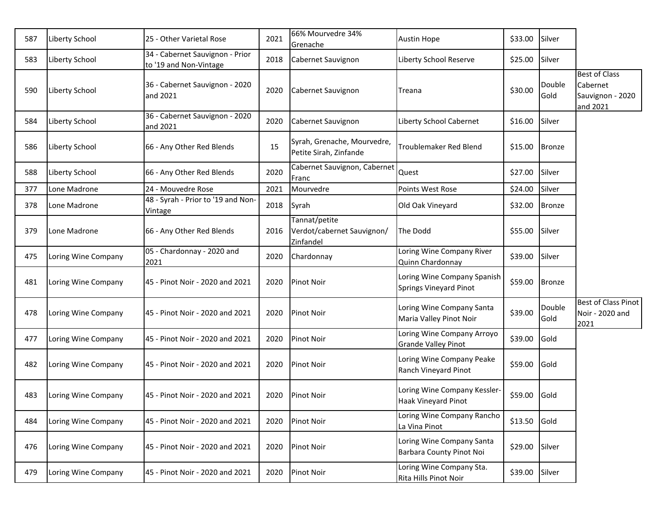| 587 | Liberty School      | 25 - Other Varietal Rose                                  | 2021 | 66% Mourvedre 34%<br>Grenache                            | <b>Austin Hope</b>                                    | \$33.00        | Silver         |                                                                  |
|-----|---------------------|-----------------------------------------------------------|------|----------------------------------------------------------|-------------------------------------------------------|----------------|----------------|------------------------------------------------------------------|
| 583 | Liberty School      | 34 - Cabernet Sauvignon - Prior<br>to '19 and Non-Vintage | 2018 | Cabernet Sauvignon                                       | Liberty School Reserve                                | \$25.00        | Silver         |                                                                  |
| 590 | Liberty School      | 36 - Cabernet Sauvignon - 2020<br>and 2021                | 2020 | Cabernet Sauvignon                                       | Treana                                                | \$30.00        | Double<br>Gold | <b>Best of Class</b><br>Cabernet<br>Sauvignon - 2020<br>and 2021 |
| 584 | Liberty School      | 36 - Cabernet Sauvignon - 2020<br>and 2021                | 2020 | Cabernet Sauvignon                                       | Liberty School Cabernet                               | \$16.00        | Silver         |                                                                  |
| 586 | Liberty School      | 66 - Any Other Red Blends                                 | 15   | Syrah, Grenache, Mourvedre,<br>Petite Sirah, Zinfande    | <b>Troublemaker Red Blend</b>                         | \$15.00        | <b>Bronze</b>  |                                                                  |
| 588 | Liberty School      | 66 - Any Other Red Blends                                 | 2020 | Cabernet Sauvignon, Cabernet<br>Franc                    | Quest                                                 | \$27.00        | Silver         |                                                                  |
| 377 | Lone Madrone        | 24 - Mouvedre Rose                                        | 2021 | Mourvedre                                                | Points West Rose                                      | \$24.00        | Silver         |                                                                  |
| 378 | Lone Madrone        | 48 - Syrah - Prior to '19 and Non-<br>Vintage             | 2018 | Syrah                                                    | Old Oak Vineyard                                      | \$32.00        | <b>Bronze</b>  |                                                                  |
| 379 | Lone Madrone        | 66 - Any Other Red Blends                                 | 2016 | Tannat/petite<br>Verdot/cabernet Sauvignon/<br>Zinfandel | The Dodd                                              | \$55.00        | Silver         |                                                                  |
| 475 | Loring Wine Company | 05 - Chardonnay - 2020 and<br>2021                        | 2020 | Chardonnay                                               | Loring Wine Company River<br>Quinn Chardonnay         | \$39.00        | Silver         |                                                                  |
| 481 | Loring Wine Company | 45 - Pinot Noir - 2020 and 2021                           | 2020 | Pinot Noir                                               | Loring Wine Company Spanish<br>Springs Vineyard Pinot | \$59.00        | <b>Bronze</b>  |                                                                  |
| 478 | Loring Wine Company | 45 - Pinot Noir - 2020 and 2021                           | 2020 | Pinot Noir                                               | Loring Wine Company Santa<br>Maria Valley Pinot Noir  | \$39.00        | Double<br>Gold | <b>Best of Class Pinot</b><br>Noir - 2020 and<br>2021            |
| 477 | Loring Wine Company | 45 - Pinot Noir - 2020 and 2021                           | 2020 | Pinot Noir                                               | Loring Wine Company Arroyo<br>Grande Valley Pinot     | \$39.00        | Gold           |                                                                  |
| 482 | Loring Wine Company | 45 - Pinot Noir - 2020 and 2021                           | 2020 | Pinot Noir                                               | Loring Wine Company Peake<br>Ranch Vineyard Pinot     | \$59.00        | Gold           |                                                                  |
| 483 | Loring Wine Company | 45 - Pinot Noir - 2020 and 2021                           | 2020 | Pinot Noir                                               | Loring Wine Company Kessler-<br>Haak Vineyard Pinot   | \$59.00        | Gold           |                                                                  |
| 484 | Loring Wine Company | 45 - Pinot Noir - 2020 and 2021                           | 2020 | Pinot Noir                                               | Loring Wine Company Rancho<br>La Vina Pinot           | \$13.50        | Gold           |                                                                  |
| 476 | Loring Wine Company | 45 - Pinot Noir - 2020 and 2021                           | 2020 | Pinot Noir                                               | Loring Wine Company Santa<br>Barbara County Pinot Noi | \$29.00        | Silver         |                                                                  |
| 479 | Loring Wine Company | 45 - Pinot Noir - 2020 and 2021                           | 2020 | Pinot Noir                                               | Loring Wine Company Sta.<br>Rita Hills Pinot Noir     | \$39.00 Silver |                |                                                                  |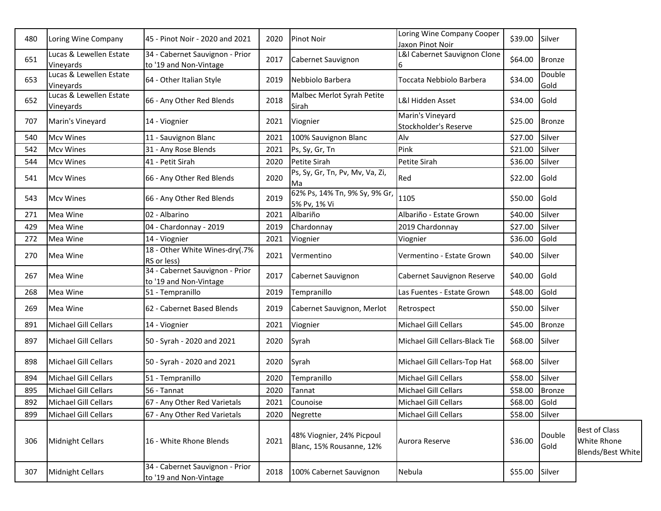| 480 | Loring Wine Company                         | 45 - Pinot Noir - 2020 and 2021                           | 2020 | <b>Pinot Noir</b>                                     | Loring Wine Company Cooper<br>Jaxon Pinot Noir | \$39.00        | Silver         |                                                          |
|-----|---------------------------------------------|-----------------------------------------------------------|------|-------------------------------------------------------|------------------------------------------------|----------------|----------------|----------------------------------------------------------|
| 651 | Lucas & Lewellen Estate<br>Vineyards        | 34 - Cabernet Sauvignon - Prior<br>to '19 and Non-Vintage | 2017 | Cabernet Sauvignon                                    | L&I Cabernet Sauvignon Clone                   | \$64.00        | Bronze         |                                                          |
| 653 | Lucas & Lewellen Estate<br>Vineyards        | 64 - Other Italian Style                                  | 2019 | Nebbiolo Barbera                                      | Toccata Nebbiolo Barbera                       | \$34.00        | Double<br>Gold |                                                          |
| 652 | Lucas & Lewellen Estate<br><b>Vineyards</b> | 66 - Any Other Red Blends                                 | 2018 | Malbec Merlot Syrah Petite<br>Sirah                   | L&I Hidden Asset                               | \$34.00        | Gold           |                                                          |
| 707 | Marin's Vineyard                            | 14 - Viognier                                             | 2021 | Viognier                                              | Marin's Vineyard<br>Stockholder's Reserve      | \$25.00 Bronze |                |                                                          |
| 540 | <b>Mcv Wines</b>                            | 11 - Sauvignon Blanc                                      | 2021 | 100% Sauvignon Blanc                                  | Alv                                            | \$27.00        | Silver         |                                                          |
| 542 | <b>Mcv Wines</b>                            | 31 - Any Rose Blends                                      | 2021 | Ps, Sy, Gr, Tn                                        | Pink                                           | \$21.00        | Silver         |                                                          |
| 544 | <b>Mcv Wines</b>                            | 41 - Petit Sirah                                          | 2020 | Petite Sirah                                          | Petite Sirah                                   | \$36.00        | Silver         |                                                          |
| 541 | <b>Mcv Wines</b>                            | 66 - Any Other Red Blends                                 | 2020 | Ps, Sy, Gr, Tn, Pv, Mv, Va, Zi,<br>Ma                 | Red                                            | \$22.00        | Gold           |                                                          |
| 543 | <b>Mcv Wines</b>                            | 66 - Any Other Red Blends                                 | 2019 | 62% Ps, 14% Tn, 9% Sy, 9% Gr,<br>5% Pv, 1% Vi         | 1105                                           | \$50.00        | Gold           |                                                          |
| 271 | Mea Wine                                    | 02 - Albarino                                             | 2021 | Albariño                                              | Albariño - Estate Grown                        | \$40.00        | Silver         |                                                          |
| 429 | Mea Wine                                    | 04 - Chardonnay - 2019                                    | 2019 | Chardonnay                                            | 2019 Chardonnay                                | \$27.00        | Silver         |                                                          |
| 272 | Mea Wine                                    | 14 - Viognier                                             | 2021 | Viognier                                              | Viognier                                       | \$36.00        | Gold           |                                                          |
| 270 | Mea Wine                                    | 18 - Other White Wines-dry(.7%<br>RS or less)             | 2021 | Vermentino                                            | Vermentino - Estate Grown                      | \$40.00        | Silver         |                                                          |
| 267 | Mea Wine                                    | 34 - Cabernet Sauvignon - Prior<br>to '19 and Non-Vintage | 2017 | Cabernet Sauvignon                                    | Cabernet Sauvignon Reserve                     | \$40.00        | Gold           |                                                          |
| 268 | Mea Wine                                    | 51 - Tempranillo                                          | 2019 | Tempranillo                                           | Las Fuentes - Estate Grown                     | \$48.00        | Gold           |                                                          |
| 269 | Mea Wine                                    | 62 - Cabernet Based Blends                                | 2019 | Cabernet Sauvignon, Merlot                            | Retrospect                                     | \$50.00        | Silver         |                                                          |
| 891 | Michael Gill Cellars                        | 14 - Viognier                                             | 2021 | Viognier                                              | Michael Gill Cellars                           | \$45.00        | <b>Bronze</b>  |                                                          |
| 897 | Michael Gill Cellars                        | 50 - Syrah - 2020 and 2021                                | 2020 | Syrah                                                 | Michael Gill Cellars-Black Tie                 | \$68.00        | Silver         |                                                          |
| 898 | Michael Gill Cellars                        | 50 - Syrah - 2020 and 2021                                | 2020 | Syrah                                                 | Michael Gill Cellars-Top Hat                   | \$68.00        | Silver         |                                                          |
| 894 | Michael Gill Cellars                        | 51 - Tempranillo                                          | 2020 | Tempranillo                                           | Michael Gill Cellars                           | \$58.00        | Silver         |                                                          |
| 895 | Michael Gill Cellars                        | 56 - Tannat                                               | 2020 | Tannat                                                | Michael Gill Cellars                           | \$58.00 Bronze |                |                                                          |
| 892 | Michael Gill Cellars                        | 67 - Any Other Red Varietals                              | 2021 | Counoise                                              | Michael Gill Cellars                           | \$68.00 Gold   |                |                                                          |
| 899 | Michael Gill Cellars                        | 67 - Any Other Red Varietals                              | 2020 | Negrette                                              | Michael Gill Cellars                           | \$58.00        | Silver         |                                                          |
| 306 | Midnight Cellars                            | 16 - White Rhone Blends                                   | 2021 | 48% Viognier, 24% Picpoul<br>Blanc, 15% Rousanne, 12% | Aurora Reserve                                 | \$36.00        | Double<br>Gold | <b>Best of Class</b><br>White Rhone<br>Blends/Best White |
| 307 | Midnight Cellars                            | 34 - Cabernet Sauvignon - Prior<br>to '19 and Non-Vintage | 2018 | 100% Cabernet Sauvignon                               | Nebula                                         | \$55.00        | Silver         |                                                          |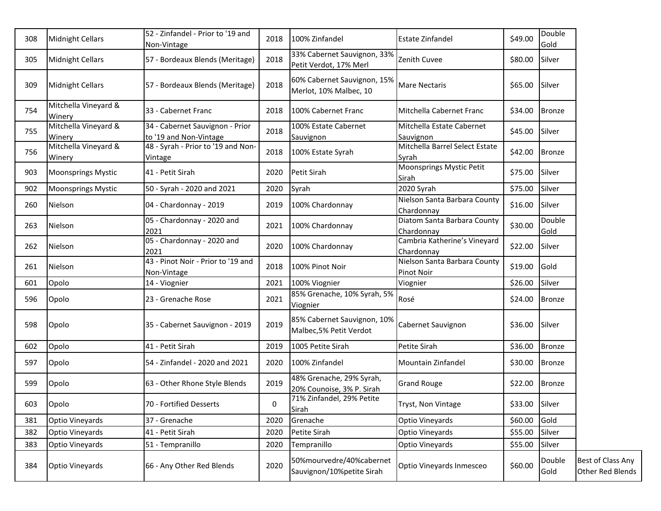| 308 | <b>Midnight Cellars</b>        | 52 - Zinfandel - Prior to '19 and<br>Non-Vintage          | 2018 | 100% Zinfandel                                         | <b>Estate Zinfandel</b>                           | \$49.00 | Double<br>Gold |                                       |
|-----|--------------------------------|-----------------------------------------------------------|------|--------------------------------------------------------|---------------------------------------------------|---------|----------------|---------------------------------------|
| 305 | <b>Midnight Cellars</b>        | 57 - Bordeaux Blends (Meritage)                           | 2018 | 33% Cabernet Sauvignon, 33%<br>Petit Verdot, 17% Merl  | Zenith Cuvee                                      | \$80.00 | Silver         |                                       |
| 309 | <b>Midnight Cellars</b>        | 57 - Bordeaux Blends (Meritage)                           | 2018 | 60% Cabernet Sauvignon, 15%<br>Merlot, 10% Malbec, 10  | Mare Nectaris                                     | \$65.00 | Silver         |                                       |
| 754 | Mitchella Vineyard &<br>Winery | 33 - Cabernet Franc                                       | 2018 | 100% Cabernet Franc                                    | Mitchella Cabernet Franc                          | \$34.00 | Bronze         |                                       |
| 755 | Mitchella Vineyard &<br>Winery | 34 - Cabernet Sauvignon - Prior<br>to '19 and Non-Vintage | 2018 | 100% Estate Cabernet<br>Sauvignon                      | Mitchella Estate Cabernet<br>Sauvignon            | \$45.00 | Silver         |                                       |
| 756 | Mitchella Vineyard &<br>Winery | 48 - Syrah - Prior to '19 and Non-<br>Vintage             | 2018 | 100% Estate Syrah                                      | Mitchella Barrel Select Estate<br>Syrah           | \$42.00 | <b>Bronze</b>  |                                       |
| 903 | <b>Moonsprings Mystic</b>      | 41 - Petit Sirah                                          | 2020 | Petit Sirah                                            | Moonsprings Mystic Petit<br>Sirah                 | \$75.00 | Silver         |                                       |
| 902 | <b>Moonsprings Mystic</b>      | 50 - Syrah - 2020 and 2021                                | 2020 | Syrah                                                  | 2020 Syrah                                        | \$75.00 | Silver         |                                       |
| 260 | Nielson                        | 04 - Chardonnay - 2019                                    | 2019 | 100% Chardonnay                                        | Nielson Santa Barbara County<br>Chardonnay        | \$16.00 | Silver         |                                       |
| 263 | Nielson                        | 05 - Chardonnay - 2020 and<br>2021                        | 2021 | 100% Chardonnay                                        | Diatom Santa Barbara County<br>Chardonnay         | \$30.00 | Double<br>Gold |                                       |
| 262 | Nielson                        | 05 - Chardonnay - 2020 and<br>2021                        | 2020 | 100% Chardonnay                                        | Cambria Katherine's Vineyard<br>Chardonnay        | \$22.00 | Silver         |                                       |
| 261 | Nielson                        | 43 - Pinot Noir - Prior to '19 and<br>Non-Vintage         | 2018 | 100% Pinot Noir                                        | Nielson Santa Barbara County<br><b>Pinot Noir</b> | \$19.00 | Gold           |                                       |
| 601 | Opolo                          | 14 - Viognier                                             | 2021 | 100% Viognier                                          | Viognier                                          | \$26.00 | Silver         |                                       |
| 596 | Opolo                          | 23 - Grenache Rose                                        | 2021 | 85% Grenache, 10% Syrah, 5%<br>Viognier                | Rosé                                              | \$24.00 | <b>Bronze</b>  |                                       |
| 598 | Opolo                          | 35 - Cabernet Sauvignon - 2019                            | 2019 | 85% Cabernet Sauvignon, 10%<br>Malbec, 5% Petit Verdot | Cabernet Sauvignon                                | \$36.00 | Silver         |                                       |
| 602 | Opolo                          | 41 - Petit Sirah                                          | 2019 | 1005 Petite Sirah                                      | Petite Sirah                                      | \$36.00 | <b>Bronze</b>  |                                       |
| 597 | Opolo                          | 54 - Zinfandel - 2020 and 2021                            | 2020 | 100% Zinfandel                                         | Mountain Zinfandel                                | \$30.00 | Bronze         |                                       |
| 599 | Opolo                          | 63 - Other Rhone Style Blends                             | 2019 | 48% Grenache, 29% Syrah,<br>20% Counoise, 3% P. Sirah  | <b>Grand Rouge</b>                                | \$22.00 | Bronze         |                                       |
| 603 | Opolo                          | 70 - Fortified Desserts                                   | 0    | 71% Zinfandel, 29% Petite<br>Sirah                     | Tryst, Non Vintage                                | \$33.00 | Silver         |                                       |
| 381 | Optio Vineyards                | 37 - Grenache                                             | 2020 | Grenache                                               | Optio Vineyards                                   | \$60.00 | Gold           |                                       |
| 382 | Optio Vineyards                | 41 - Petit Sirah                                          | 2020 | Petite Sirah                                           | Optio Vineyards                                   | \$55.00 | Silver         |                                       |
| 383 | Optio Vineyards                | 51 - Tempranillo                                          | 2020 | Tempranillo                                            | Optio Vineyards                                   | \$55.00 | Silver         |                                       |
| 384 | Optio Vineyards                | 66 - Any Other Red Blends                                 | 2020 | 50%mourvedre/40%cabernet<br>Sauvignon/10%petite Sirah  | Optio Vineyards Inmesceo                          | \$60.00 | Double<br>Gold | Best of Class Any<br>Other Red Blends |
|     |                                |                                                           |      |                                                        |                                                   |         |                |                                       |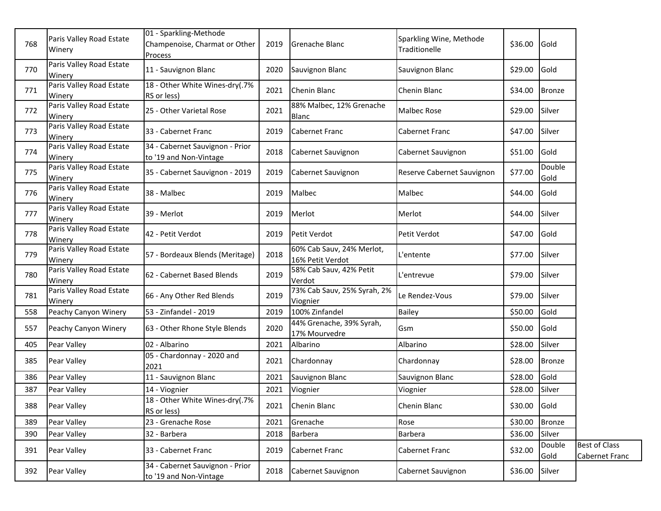| 768 | Paris Valley Road Estate<br>Winery | 01 - Sparkling-Methode<br>Champenoise, Charmat or Other<br><b>Process</b> | 2019 | Grenache Blanc                                | Sparkling Wine, Methode<br>Traditionelle | \$36.00      | Gold           |                                        |
|-----|------------------------------------|---------------------------------------------------------------------------|------|-----------------------------------------------|------------------------------------------|--------------|----------------|----------------------------------------|
| 770 | Paris Valley Road Estate<br>Winery | 11 - Sauvignon Blanc                                                      | 2020 | Sauvignon Blanc                               | Sauvignon Blanc                          | \$29.00      | Gold           |                                        |
| 771 | Paris Valley Road Estate<br>Winery | 18 - Other White Wines-dry(.7%<br>RS or less)                             | 2021 | Chenin Blanc                                  | Chenin Blanc                             | \$34.00      | <b>Bronze</b>  |                                        |
| 772 | Paris Valley Road Estate<br>Winery | 25 - Other Varietal Rose                                                  | 2021 | 88% Malbec, 12% Grenache<br>Blanc             | <b>Malbec Rose</b>                       | \$29.00      | Silver         |                                        |
| 773 | Paris Valley Road Estate<br>Winery | 33 - Cabernet Franc                                                       | 2019 | Cabernet Franc                                | Cabernet Franc                           | \$47.00      | Silver         |                                        |
| 774 | Paris Valley Road Estate<br>Winery | 34 - Cabernet Sauvignon - Prior<br>to '19 and Non-Vintage                 | 2018 | Cabernet Sauvignon                            | Cabernet Sauvignon                       | \$51.00 Gold |                |                                        |
| 775 | Paris Valley Road Estate<br>Winery | 35 - Cabernet Sauvignon - 2019                                            | 2019 | Cabernet Sauvignon                            | Reserve Cabernet Sauvignon               | \$77.00      | Double<br>Gold |                                        |
| 776 | Paris Valley Road Estate<br>Winery | 38 - Malbec                                                               | 2019 | Malbec                                        | Malbec                                   | \$44.00      | Gold           |                                        |
| 777 | Paris Valley Road Estate<br>Winery | 39 - Merlot                                                               | 2019 | Merlot                                        | Merlot                                   | \$44.00      | Silver         |                                        |
| 778 | Paris Valley Road Estate<br>Winery | 42 - Petit Verdot                                                         | 2019 | Petit Verdot                                  | Petit Verdot                             | \$47.00      | Gold           |                                        |
| 779 | Paris Valley Road Estate<br>Winery | 57 - Bordeaux Blends (Meritage)                                           | 2018 | 60% Cab Sauv, 24% Merlot,<br>16% Petit Verdot | ∟'entente                                | \$77.00      | Silver         |                                        |
| 780 | Paris Valley Road Estate<br>Winery | 62 - Cabernet Based Blends                                                | 2019 | 58% Cab Sauv, 42% Petit<br>Verdot             | L'entrevue                               | \$79.00      | Silver         |                                        |
| 781 | Paris Valley Road Estate<br>Winery | 66 - Any Other Red Blends                                                 | 2019 | 73% Cab Sauv, 25% Syrah, 2%<br>Viognier       | Le Rendez-Vous                           | \$79.00      | Silver         |                                        |
| 558 | Peachy Canyon Winery               | 53 - Zinfandel - 2019                                                     | 2019 | 100% Zinfandel                                | <b>Bailey</b>                            | \$50.00      | Gold           |                                        |
| 557 | Peachy Canyon Winery               | 63 - Other Rhone Style Blends                                             | 2020 | 44% Grenache, 39% Syrah,<br>17% Mourvedre     | Gsm                                      | \$50.00      | Gold           |                                        |
| 405 | Pear Valley                        | 02 - Albarino                                                             | 2021 | Albarino                                      | Albarino                                 | \$28.00      | Silver         |                                        |
| 385 | Pear Valley                        | 05 - Chardonnay - 2020 and<br>2021                                        | 2021 | Chardonnay                                    | Chardonnay                               | \$28.00      | <b>Bronze</b>  |                                        |
| 386 | Pear Valley                        | 11 - Sauvignon Blanc                                                      | 2021 | Sauvignon Blanc                               | Sauvignon Blanc                          | \$28.00      | Gold           |                                        |
| 387 | Pear Valley                        | 14 - Viognier                                                             | 2021 | Viognier                                      | Viognier                                 | \$28.00      | Silver         |                                        |
| 388 | Pear Valley                        | 18 - Other White Wines-dry(.7%<br>RS or less)                             | 2021 | Chenin Blanc                                  | Chenin Blanc                             | \$30.00 Gold |                |                                        |
| 389 | Pear Valley                        | 23 - Grenache Rose                                                        | 2021 | Grenache                                      | Rose                                     | \$30.00      | <b>Bronze</b>  |                                        |
| 390 | Pear Valley                        | 32 - Barbera                                                              | 2018 | Barbera                                       | Barbera                                  | \$36.00      | Silver         |                                        |
| 391 | Pear Valley                        | 33 - Cabernet Franc                                                       | 2019 | Cabernet Franc                                | Cabernet Franc                           | \$32.00      | Double<br>Gold | <b>Best of Class</b><br>Cabernet Franc |
| 392 | Pear Valley                        | 34 - Cabernet Sauvignon - Prior<br>to '19 and Non-Vintage                 | 2018 | Cabernet Sauvignon                            | Cabernet Sauvignon                       | \$36.00      | Silver         |                                        |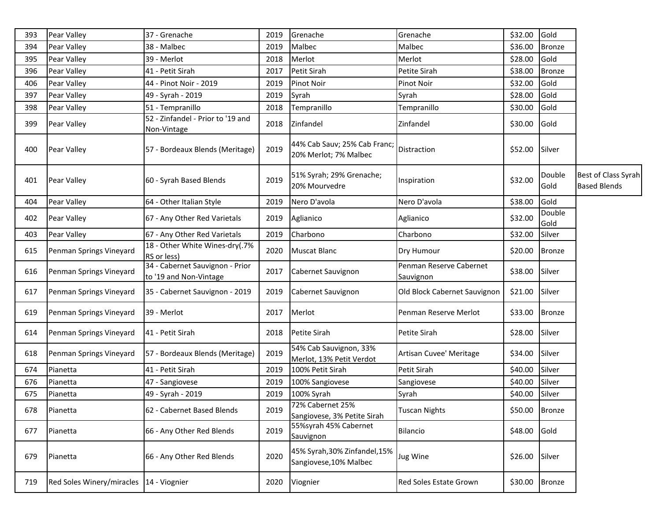| 393 | Pear Valley               | 37 - Grenache                                             | 2019 | Grenache                                                | Grenache                             | \$32.00        | Gold           |                                            |
|-----|---------------------------|-----------------------------------------------------------|------|---------------------------------------------------------|--------------------------------------|----------------|----------------|--------------------------------------------|
| 394 | Pear Valley               | 38 - Malbec                                               | 2019 | Malbec                                                  | Malbec                               | \$36.00        | <b>Bronze</b>  |                                            |
| 395 | Pear Valley               | 39 - Merlot                                               | 2018 | Merlot                                                  | Merlot                               | \$28.00        | Gold           |                                            |
| 396 | Pear Valley               | 41 - Petit Sirah                                          | 2017 | Petit Sirah                                             | Petite Sirah                         | \$38.00        | <b>Bronze</b>  |                                            |
| 406 | Pear Valley               | 44 - Pinot Noir - 2019                                    | 2019 | Pinot Noir                                              | Pinot Noir                           | \$32.00        | Gold           |                                            |
| 397 | Pear Valley               | 49 - Syrah - 2019                                         | 2019 | Syrah                                                   | Syrah                                | \$28.00        | Gold           |                                            |
| 398 | Pear Valley               | 51 - Tempranillo                                          | 2018 | Tempranillo                                             | Tempranillo                          | \$30.00        | Gold           |                                            |
| 399 | Pear Valley               | 52 - Zinfandel - Prior to '19 and<br>Non-Vintage          | 2018 | Zinfandel                                               | Zinfandel                            | \$30.00        | Gold           |                                            |
| 400 | Pear Valley               | 57 - Bordeaux Blends (Meritage)                           | 2019 | 44% Cab Sauv; 25% Cab Franc;<br>20% Merlot; 7% Malbec   | Distraction                          | \$52.00        | Silver         |                                            |
| 401 | Pear Valley               | 60 - Syrah Based Blends                                   | 2019 | 51% Syrah; 29% Grenache;<br>20% Mourvedre               | Inspiration                          | \$32.00        | Double<br>Gold | Best of Class Syrah<br><b>Based Blends</b> |
| 404 | Pear Valley               | 64 - Other Italian Style                                  | 2019 | Nero D'avola                                            | Nero D'avola                         | \$38.00        | Gold           |                                            |
| 402 | Pear Valley               | 67 - Any Other Red Varietals                              | 2019 | Aglianico                                               | Aglianico                            | \$32.00        | Double<br>Gold |                                            |
| 403 | Pear Valley               | 67 - Any Other Red Varietals                              | 2019 | Charbono                                                | Charbono                             | \$32.00        | Silver         |                                            |
| 615 | Penman Springs Vineyard   | 18 - Other White Wines-dry(.7%<br>RS or less)             | 2020 | Muscat Blanc                                            | Dry Humour                           | \$20.00        | <b>Bronze</b>  |                                            |
| 616 | Penman Springs Vineyard   | 34 - Cabernet Sauvignon - Prior<br>to '19 and Non-Vintage | 2017 | Cabernet Sauvignon                                      | Penman Reserve Cabernet<br>Sauvignon | \$38.00        | Silver         |                                            |
| 617 | Penman Springs Vineyard   | 35 - Cabernet Sauvignon - 2019                            | 2019 | Cabernet Sauvignon                                      | Old Block Cabernet Sauvignon         | \$21.00        | Silver         |                                            |
| 619 | Penman Springs Vineyard   | 39 - Merlot                                               | 2017 | Merlot                                                  | Penman Reserve Merlot                | \$33.00        | <b>Bronze</b>  |                                            |
| 614 | Penman Springs Vineyard   | 41 - Petit Sirah                                          | 2018 | Petite Sirah                                            | Petite Sirah                         | \$28.00        | Silver         |                                            |
| 618 | Penman Springs Vineyard   | 57 - Bordeaux Blends (Meritage)                           | 2019 | 54% Cab Sauvignon, 33%<br>Merlot, 13% Petit Verdot      | Artisan Cuvee' Meritage              | \$34.00        | Silver         |                                            |
| 674 | Pianetta                  | 41 - Petit Sirah                                          | 2019 | 100% Petit Sirah                                        | Petit Sirah                          | \$40.00        | Silver         |                                            |
| 676 | Pianetta                  | 47 - Sangiovese                                           | 2019 | 100% Sangiovese                                         | Sangiovese                           | \$40.00        | Silver         |                                            |
| 675 | Pianetta                  | 49 - Syrah - 2019                                         | 2019 | 100% Syrah                                              | Syrah                                | \$40.00        | Silver         |                                            |
| 678 | Pianetta                  | 62 - Cabernet Based Blends                                | 2019 | 72% Cabernet 25%<br>Sangiovese, 3% Petite Sirah         | <b>Tuscan Nights</b>                 | \$50.00 Bronze |                |                                            |
| 677 | Pianetta                  | 66 - Any Other Red Blends                                 | 2019 | 55%syrah 45% Cabernet<br>Sauvignon                      | Bilancio                             | \$48.00        | Gold           |                                            |
| 679 | Pianetta                  | 66 - Any Other Red Blends                                 | 2020 | 45% Syrah, 30% Zinfandel, 15%<br>Sangiovese, 10% Malbec | Jug Wine                             | \$26.00        | Silver         |                                            |
| 719 | Red Soles Winery/miracles | 14 - Viognier                                             | 2020 | Viognier                                                | <b>Red Soles Estate Grown</b>        | \$30.00 Bronze |                |                                            |
|     |                           |                                                           |      |                                                         |                                      |                |                |                                            |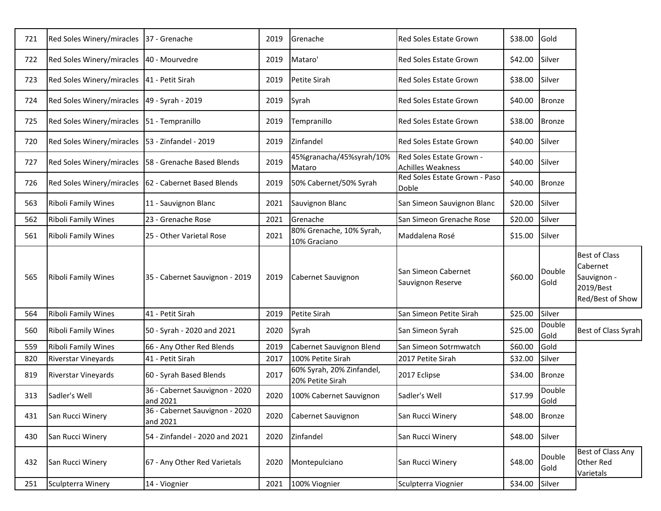| 721 | Red Soles Winery/miracles                         | 37 - Grenache                                          | 2019 | Grenache                                      | Red Soles Estate Grown                               | \$38.00 | Gold           |                                                                                  |
|-----|---------------------------------------------------|--------------------------------------------------------|------|-----------------------------------------------|------------------------------------------------------|---------|----------------|----------------------------------------------------------------------------------|
| 722 | Red Soles Winery/miracles                         | 40 - Mourvedre                                         | 2019 | Mataro'                                       | Red Soles Estate Grown                               | \$42.00 | Silver         |                                                                                  |
| 723 | Red Soles Winery/miracles                         | 41 - Petit Sirah                                       | 2019 | Petite Sirah                                  | <b>Red Soles Estate Grown</b>                        | \$38.00 | Silver         |                                                                                  |
| 724 | Red Soles Winery/miracles                         | 49 - Syrah - 2019                                      | 2019 | Syrah                                         | Red Soles Estate Grown                               | \$40.00 | <b>Bronze</b>  |                                                                                  |
| 725 | Red Soles Winery/miracles   51 - Tempranillo      |                                                        | 2019 | Tempranillo                                   | Red Soles Estate Grown                               | \$38.00 | <b>Bronze</b>  |                                                                                  |
| 720 | Red Soles Winery/miracles   53 - Zinfandel - 2019 |                                                        | 2019 | Zinfandel                                     | Red Soles Estate Grown                               | \$40.00 | Silver         |                                                                                  |
| 727 |                                                   | Red Soles Winery/miracles   58 - Grenache Based Blends | 2019 | 45%granacha/45%syrah/10%<br>Mataro            | Red Soles Estate Grown -<br><b>Achilles Weakness</b> | \$40.00 | Silver         |                                                                                  |
| 726 |                                                   | Red Soles Winery/miracles   62 - Cabernet Based Blends | 2019 | 50% Cabernet/50% Syrah                        | Red Soles Estate Grown - Paso<br>Doble               | \$40.00 | <b>Bronze</b>  |                                                                                  |
| 563 | Riboli Family Wines                               | 11 - Sauvignon Blanc                                   | 2021 | Sauvignon Blanc                               | San Simeon Sauvignon Blanc                           | \$20.00 | Silver         |                                                                                  |
| 562 | <b>Riboli Family Wines</b>                        | 23 - Grenache Rose                                     | 2021 | Grenache                                      | San Simeon Grenache Rose                             | \$20.00 | Silver         |                                                                                  |
| 561 | <b>Riboli Family Wines</b>                        | 25 - Other Varietal Rose                               | 2021 | 80% Grenache, 10% Syrah,<br>10% Graciano      | Maddalena Rosé                                       | \$15.00 | Silver         |                                                                                  |
| 565 | <b>Riboli Family Wines</b>                        | 35 - Cabernet Sauvignon - 2019                         | 2019 | Cabernet Sauvignon                            | San Simeon Cabernet<br>Sauvignon Reserve             | \$60.00 | Double<br>Gold | <b>Best of Class</b><br>Cabernet<br>Sauvignon -<br>2019/Best<br>Red/Best of Show |
| 564 | Riboli Family Wines                               | 41 - Petit Sirah                                       | 2019 | Petite Sirah                                  | San Simeon Petite Sirah                              | \$25.00 | Silver         |                                                                                  |
| 560 | <b>Riboli Family Wines</b>                        | 50 - Syrah - 2020 and 2021                             | 2020 | Syrah                                         | San Simeon Syrah                                     | \$25.00 | Double<br>Gold | Best of Class Syrah                                                              |
| 559 | Riboli Family Wines                               | 66 - Any Other Red Blends                              | 2019 | Cabernet Sauvignon Blend                      | San Simeon Sotrmwatch                                | \$60.00 | Gold           |                                                                                  |
| 820 | <b>Riverstar Vineyards</b>                        | 41 - Petit Sirah                                       | 2017 | 100% Petite Sirah                             | 2017 Petite Sirah                                    | \$32.00 | Silver         |                                                                                  |
| 819 | Riverstar Vineyards                               | 60 - Syrah Based Blends                                | 2017 | 60% Syrah, 20% Zinfandel,<br>20% Petite Sirah | 2017 Eclipse                                         | \$34.00 | <b>Bronze</b>  |                                                                                  |
| 313 | Sadler's Well                                     | 36 - Cabernet Sauvignon - 2020<br>and 2021             | 2020 | 100% Cabernet Sauvignon                       | Sadler's Well                                        | \$17.99 | Double<br>Gold |                                                                                  |
| 431 | San Rucci Winery                                  | 36 - Cabernet Sauvignon - 2020<br>and 2021             | 2020 | Cabernet Sauvignon                            | San Rucci Winery                                     | \$48.00 | <b>Bronze</b>  |                                                                                  |
| 430 | San Rucci Winery                                  | 54 - Zinfandel - 2020 and 2021                         | 2020 | Zinfandel                                     | San Rucci Winery                                     | \$48.00 | Silver         |                                                                                  |
| 432 | San Rucci Winery                                  | 67 - Any Other Red Varietals                           | 2020 | Montepulciano                                 | San Rucci Winery                                     | \$48.00 | Double<br>Gold | Best of Class Any<br>Other Red<br><b>Varietals</b>                               |
| 251 | Sculpterra Winery                                 | 14 - Viognier                                          | 2021 | 100% Viognier                                 | Sculpterra Viognier                                  | \$34.00 | Silver         |                                                                                  |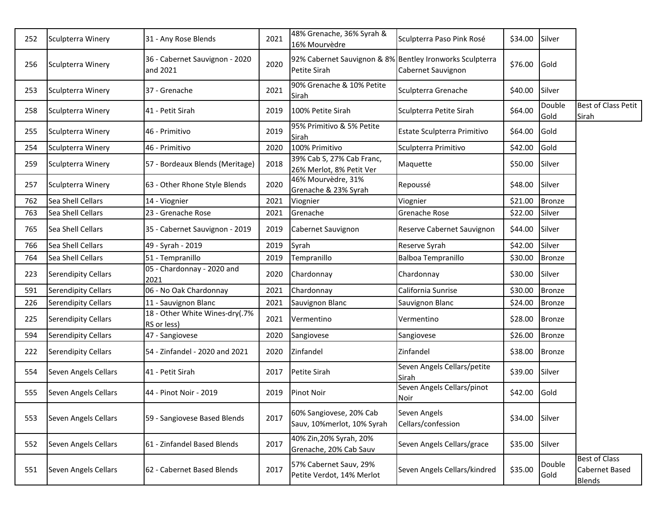| 252 | Sculpterra Winery          | 31 - Any Rose Blends                          | 2021 | 48% Grenache, 36% Syrah &<br>16% Mourvèdre                               | Sculpterra Paso Pink Rosé            | \$34.00 | Silver         |                                                         |
|-----|----------------------------|-----------------------------------------------|------|--------------------------------------------------------------------------|--------------------------------------|---------|----------------|---------------------------------------------------------|
| 256 | Sculpterra Winery          | 36 - Cabernet Sauvignon - 2020<br>and 2021    | 2020 | 92% Cabernet Sauvignon & 8% Bentley Ironworks Sculpterra<br>Petite Sirah | Cabernet Sauvignon                   | \$76.00 | Gold           |                                                         |
| 253 | Sculpterra Winery          | 37 - Grenache                                 | 2021 | 90% Grenache & 10% Petite<br>Sirah                                       | Sculpterra Grenache                  | \$40.00 | Silver         |                                                         |
| 258 | Sculpterra Winery          | 41 - Petit Sirah                              | 2019 | 100% Petite Sirah                                                        | Sculpterra Petite Sirah              | \$64.00 | Double<br>Gold | <b>Best of Class Petit</b><br>Sirah                     |
| 255 | Sculpterra Winery          | 46 - Primitivo                                | 2019 | 95% Primitivo & 5% Petite<br>Sirah                                       | Estate Sculpterra Primitivo          | \$64.00 | Gold           |                                                         |
| 254 | Sculpterra Winery          | 46 - Primitivo                                | 2020 | 100% Primitivo                                                           | Sculpterra Primitivo                 | \$42.00 | Gold           |                                                         |
| 259 | Sculpterra Winery          | 57 - Bordeaux Blends (Meritage)               | 2018 | 39% Cab S, 27% Cab Franc,<br>26% Merlot, 8% Petit Ver                    | Maquette                             | \$50.00 | Silver         |                                                         |
| 257 | Sculpterra Winery          | 63 - Other Rhone Style Blends                 | 2020 | 46% Mourvèdre, 31%<br>Grenache & 23% Syrah                               | Repoussé                             | \$48.00 | Silver         |                                                         |
| 762 | Sea Shell Cellars          | 14 - Viognier                                 | 2021 | Viognier                                                                 | Viognier                             | \$21.00 | <b>Bronze</b>  |                                                         |
| 763 | Sea Shell Cellars          | 23 - Grenache Rose                            | 2021 | Grenache                                                                 | Grenache Rose                        | \$22.00 | Silver         |                                                         |
| 765 | Sea Shell Cellars          | 35 - Cabernet Sauvignon - 2019                | 2019 | Cabernet Sauvignon                                                       | Reserve Cabernet Sauvignon           | \$44.00 | Silver         |                                                         |
| 766 | Sea Shell Cellars          | 49 - Syrah - 2019                             | 2019 | Syrah                                                                    | Reserve Syrah                        | \$42.00 | Silver         |                                                         |
| 764 | Sea Shell Cellars          | 51 - Tempranillo                              | 2019 | Tempranillo                                                              | <b>Balboa Tempranillo</b>            | \$30.00 | <b>Bronze</b>  |                                                         |
| 223 | <b>Serendipity Cellars</b> | 05 - Chardonnay - 2020 and<br>2021            | 2020 | Chardonnay                                                               | Chardonnay                           | \$30.00 | Silver         |                                                         |
| 591 | Serendipity Cellars        | 06 - No Oak Chardonnay                        | 2021 | Chardonnay                                                               | California Sunrise                   | \$30.00 | <b>Bronze</b>  |                                                         |
| 226 | Serendipity Cellars        | 11 - Sauvignon Blanc                          | 2021 | Sauvignon Blanc                                                          | Sauvignon Blanc                      | \$24.00 | <b>Bronze</b>  |                                                         |
| 225 | <b>Serendipity Cellars</b> | 18 - Other White Wines-dry(.7%<br>RS or less) | 2021 | Vermentino                                                               | Vermentino                           | \$28.00 | <b>Bronze</b>  |                                                         |
| 594 | Serendipity Cellars        | 47 - Sangiovese                               | 2020 | Sangiovese                                                               | Sangiovese                           | \$26.00 | <b>Bronze</b>  |                                                         |
| 222 | Serendipity Cellars        | 54 - Zinfandel - 2020 and 2021                | 2020 | Zinfandel                                                                | <b>Zinfandel</b>                     | \$38.00 | <b>Bronze</b>  |                                                         |
| 554 | Seven Angels Cellars       | 41 - Petit Sirah                              | 2017 | Petite Sirah                                                             | Seven Angels Cellars/petite<br>Sirah | \$39.00 | Silver         |                                                         |
| 555 | Seven Angels Cellars       | 44 - Pinot Noir - 2019                        | 2019 | <b>Pinot Noir</b>                                                        | Seven Angels Cellars/pinot<br>Noir   | \$42.00 | Gold           |                                                         |
| 553 | Seven Angels Cellars       | 59 - Sangiovese Based Blends                  | 2017 | 60% Sangiovese, 20% Cab<br>Sauv, 10%merlot, 10% Syrah                    | Seven Angels<br>Cellars/confession   | \$34.00 | Silver         |                                                         |
| 552 | Seven Angels Cellars       | 61 - Zinfandel Based Blends                   | 2017 | 40% Zin, 20% Syrah, 20%<br>Grenache, 20% Cab Sauv                        | Seven Angels Cellars/grace           | \$35.00 | Silver         |                                                         |
| 551 | Seven Angels Cellars       | 62 - Cabernet Based Blends                    | 2017 | 57% Cabernet Sauv, 29%<br>Petite Verdot, 14% Merlot                      | Seven Angels Cellars/kindred         | \$35.00 | Double<br>Gold | <b>Best of Class</b><br>Cabernet Based<br><b>Blends</b> |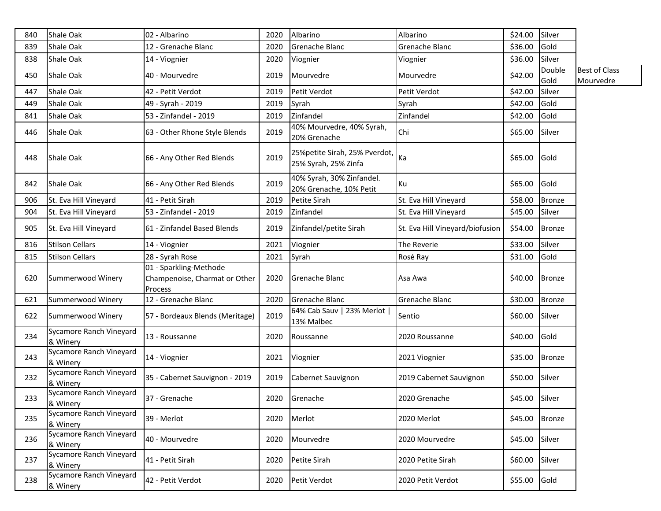| 840 | Shale Oak                           | 02 - Albarino                                                      | 2020 | Albarino                                               | Albarino                        | \$24.00        | Silver         |                                   |
|-----|-------------------------------------|--------------------------------------------------------------------|------|--------------------------------------------------------|---------------------------------|----------------|----------------|-----------------------------------|
| 839 | Shale Oak                           | 12 - Grenache Blanc                                                | 2020 | Grenache Blanc                                         | Grenache Blanc                  | \$36.00        | Gold           |                                   |
| 838 | Shale Oak                           | 14 - Viognier                                                      | 2020 | Viognier                                               | Viognier                        | \$36.00        | Silver         |                                   |
| 450 | Shale Oak                           | 40 - Mourvedre                                                     | 2019 | Mourvedre                                              | Mourvedre                       | \$42.00        | Double<br>Gold | <b>Best of Class</b><br>Mourvedre |
| 447 | Shale Oak                           | 42 - Petit Verdot                                                  | 2019 | Petit Verdot                                           | Petit Verdot                    | \$42.00        | Silver         |                                   |
| 449 | Shale Oak                           | 49 - Syrah - 2019                                                  | 2019 | Syrah                                                  | Syrah                           | \$42.00        | Gold           |                                   |
| 841 | <b>Shale Oak</b>                    | 53 - Zinfandel - 2019                                              | 2019 | Zinfandel                                              | Zinfandel                       | \$42.00        | Gold           |                                   |
| 446 | Shale Oak                           | 63 - Other Rhone Style Blends                                      | 2019 | 40% Mourvedre, 40% Syrah,<br>20% Grenache              | Chi                             | \$65.00        | Silver         |                                   |
| 448 | Shale Oak                           | 66 - Any Other Red Blends                                          | 2019 | 25% petite Sirah, 25% Pverdot,<br>25% Syrah, 25% Zinfa | ka                              | \$65.00        | Gold           |                                   |
| 842 | Shale Oak                           | 66 - Any Other Red Blends                                          | 2019 | 40% Syrah, 30% Zinfandel.<br>20% Grenache, 10% Petit   | Ku                              | \$65.00        | Gold           |                                   |
| 906 | St. Eva Hill Vineyard               | 41 - Petit Sirah                                                   | 2019 | Petite Sirah                                           | St. Eva Hill Vineyard           | \$58.00        | <b>Bronze</b>  |                                   |
| 904 | St. Eva Hill Vineyard               | 53 - Zinfandel - 2019                                              | 2019 | Zinfandel                                              | St. Eva Hill Vineyard           | \$45.00        | Silver         |                                   |
| 905 | St. Eva Hill Vineyard               | 61 - Zinfandel Based Blends                                        | 2019 | Zinfandel/petite Sirah                                 | St. Eva Hill Vineyard/biofusion | \$54.00        | <b>Bronze</b>  |                                   |
| 816 | <b>Stilson Cellars</b>              | 14 - Viognier                                                      | 2021 | Viognier                                               | The Reverie                     | \$33.00        | Silver         |                                   |
| 815 | <b>Stilson Cellars</b>              | 28 - Syrah Rose                                                    | 2021 | Syrah                                                  | Rosé Ray                        | \$31.00        | Gold           |                                   |
| 620 | Summerwood Winery                   | 01 - Sparkling-Methode<br>Champenoise, Charmat or Other<br>Process | 2020 | Grenache Blanc                                         | Asa Awa                         | \$40.00        | <b>Bronze</b>  |                                   |
| 621 | Summerwood Winery                   | 12 - Grenache Blanc                                                | 2020 | Grenache Blanc                                         | Grenache Blanc                  | \$30.00        | <b>Bronze</b>  |                                   |
| 622 | Summerwood Winery                   | 57 - Bordeaux Blends (Meritage)                                    | 2019 | 64% Cab Sauv   23% Merlot  <br>13% Malbec              | Sentio                          | \$60.00        | Silver         |                                   |
| 234 | Sycamore Ranch Vineyard<br>& Winery | 13 - Roussanne                                                     | 2020 | Roussanne                                              | 2020 Roussanne                  | \$40.00        | Gold           |                                   |
| 243 | Sycamore Ranch Vineyard<br>& Winery | 14 - Viognier                                                      | 2021 | Viognier                                               | 2021 Viognier                   | \$35.00        | <b>Bronze</b>  |                                   |
| 232 | Sycamore Ranch Vineyard<br>& Winery | 35 - Cabernet Sauvignon - 2019                                     | 2019 | Cabernet Sauvignon                                     | 2019 Cabernet Sauvignon         | \$50.00        | Silver         |                                   |
| 233 | Sycamore Ranch Vineyard<br>& Winery | 37 - Grenache                                                      |      | 2020 Grenache                                          | 2020 Grenache                   | \$45.00 Silver |                |                                   |
| 235 | Sycamore Ranch Vineyard<br>& Winery | 39 - Merlot                                                        | 2020 | Merlot                                                 | 2020 Merlot                     | \$45.00        | <b>Bronze</b>  |                                   |
| 236 | Sycamore Ranch Vineyard<br>& Winery | 40 - Mourvedre                                                     | 2020 | Mourvedre                                              | 2020 Mourvedre                  | \$45.00        | Silver         |                                   |
| 237 | Sycamore Ranch Vineyard<br>& Winery | 41 - Petit Sirah                                                   | 2020 | Petite Sirah                                           | 2020 Petite Sirah               | \$60.00        | Silver         |                                   |
| 238 | Sycamore Ranch Vineyard<br>& Winery | 42 - Petit Verdot                                                  | 2020 | Petit Verdot                                           | 2020 Petit Verdot               | \$55.00        | Gold           |                                   |
|     |                                     |                                                                    |      |                                                        |                                 |                |                |                                   |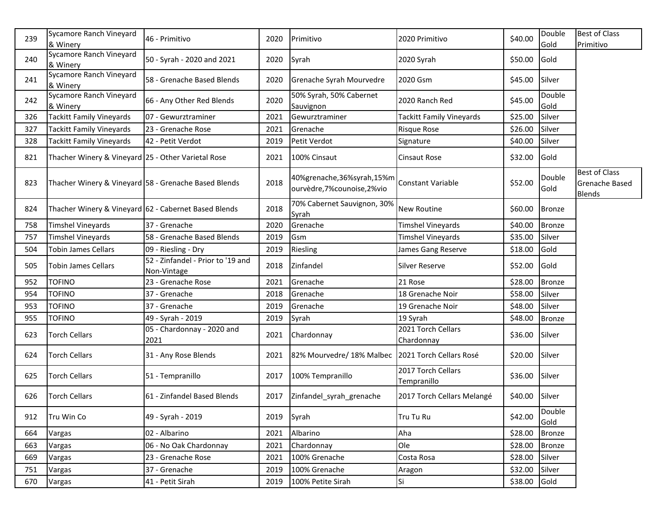| 239 | Sycamore Ranch Vineyard<br>& Winery                | 46 - Primitivo                                       | 2020 | Primitivo                                                    | 2020 Primitivo                    | \$40.00        | Double<br>Gold | <b>Best of Class</b><br>Primitivo                |
|-----|----------------------------------------------------|------------------------------------------------------|------|--------------------------------------------------------------|-----------------------------------|----------------|----------------|--------------------------------------------------|
| 240 | Sycamore Ranch Vineyard                            | 50 - Syrah - 2020 and 2021                           | 2020 | Syrah                                                        | 2020 Syrah                        | \$50.00        | Gold           |                                                  |
| 241 | & Winery<br>Sycamore Ranch Vineyard                | 58 - Grenache Based Blends                           | 2020 | Grenache Syrah Mourvedre                                     | 2020 Gsm                          | \$45.00        | Silver         |                                                  |
| 242 | & Winery<br>Sycamore Ranch Vineyard<br>& Winery    | 66 - Any Other Red Blends                            | 2020 | 50% Syrah, 50% Cabernet<br>Sauvignon                         | 2020 Ranch Red                    | \$45.00        | Double<br>Gold |                                                  |
| 326 | <b>Tackitt Family Vineyards</b>                    | 07 - Gewurztraminer                                  | 2021 | Gewurztraminer                                               | Tackitt Family Vineyards          | \$25.00        | Silver         |                                                  |
| 327 | <b>Tackitt Family Vineyards</b>                    | 23 - Grenache Rose                                   | 2021 | Grenache                                                     | <b>Risque Rose</b>                | \$26.00        | Silver         |                                                  |
| 328 | <b>Tackitt Family Vineyards</b>                    | 42 - Petit Verdot                                    | 2019 | Petit Verdot                                                 | Signature                         | \$40.00        | Silver         |                                                  |
| 821 | Thacher Winery & Vineyard 25 - Other Varietal Rose |                                                      | 2021 | 100% Cinsaut                                                 | <b>Cinsaut Rose</b>               | \$32.00        | Gold           |                                                  |
| 823 |                                                    | Thacher Winery & Vineyard 58 - Grenache Based Blends | 2018 | 40%grenache, 36%syrah, 15%m<br>ourvèdre, 7% counoise, 2% vio | <b>Constant Variable</b>          | \$52.00        | Double<br>Gold | <b>Best of Class</b><br>Grenache Based<br>Blends |
| 824 |                                                    | Thacher Winery & Vineyard 62 - Cabernet Based Blends | 2018 | 70% Cabernet Sauvignon, 30%<br>Syrah                         | <b>New Routine</b>                | \$60.00        | <b>Bronze</b>  |                                                  |
| 758 | <b>Timshel Vineyards</b>                           | 37 - Grenache                                        | 2020 | Grenache                                                     | Timshel Vineyards                 | \$40.00        | Bronze         |                                                  |
| 757 | <b>Timshel Vineyards</b>                           | 58 - Grenache Based Blends                           | 2019 | Gsm                                                          | Timshel Vineyards                 | \$35.00        | Silver         |                                                  |
| 504 | <b>Tobin James Cellars</b>                         | 09 - Riesling - Dry                                  | 2019 | Riesling                                                     | James Gang Reserve                | \$18.00        | Gold           |                                                  |
| 505 | <b>Tobin James Cellars</b>                         | 52 - Zinfandel - Prior to '19 and<br>Non-Vintage     | 2018 | Zinfandel                                                    | <b>Silver Reserve</b>             | \$52.00        | Gold           |                                                  |
| 952 | <b>TOFINO</b>                                      | 23 - Grenache Rose                                   | 2021 | Grenache                                                     | 21 Rose                           | \$28.00        | <b>Bronze</b>  |                                                  |
| 954 | <b>TOFINO</b>                                      | 37 - Grenache                                        | 2018 | Grenache                                                     | 18 Grenache Noir                  | \$58.00        | Silver         |                                                  |
| 953 | <b>TOFINO</b>                                      | 37 - Grenache                                        | 2019 | Grenache                                                     | 19 Grenache Noir                  | \$48.00        | Silver         |                                                  |
| 955 | <b>TOFINO</b>                                      | 49 - Syrah - 2019                                    | 2019 | Syrah                                                        | 19 Syrah                          | \$48.00        | <b>Bronze</b>  |                                                  |
| 623 | <b>Torch Cellars</b>                               | 05 - Chardonnay - 2020 and<br>2021                   | 2021 | Chardonnay                                                   | 2021 Torch Cellars<br>Chardonnay  | \$36.00        | Silver         |                                                  |
| 624 | <b>Torch Cellars</b>                               | 31 - Any Rose Blends                                 | 2021 | 82% Mourvedre/ 18% Malbec                                    | 2021 Torch Cellars Rosé           | \$20.00        | Silver         |                                                  |
| 625 | <b>Torch Cellars</b>                               | 51 - Tempranillo                                     | 2017 | 100% Tempranillo                                             | 2017 Torch Cellars<br>Tempranillo | \$36.00        | Silver         |                                                  |
| 626 | <b>Torch Cellars</b>                               | 61 - Zinfandel Based Blends                          | 2017 | Zinfandel syrah grenache                                     | 2017 Torch Cellars Melangé        | \$40.00 Silver |                |                                                  |
| 912 | Tru Win Co                                         | 49 - Syrah - 2019                                    | 2019 | Syrah                                                        | Tru Tu Ru                         | \$42.00        | Double<br>Gold |                                                  |
| 664 | Vargas                                             | 02 - Albarino                                        | 2021 | Albarino                                                     | Aha                               | \$28.00        | <b>Bronze</b>  |                                                  |
| 663 | Vargas                                             | 06 - No Oak Chardonnay                               | 2021 | Chardonnay                                                   | Ole                               | \$28.00        | <b>Bronze</b>  |                                                  |
| 669 | Vargas                                             | 23 - Grenache Rose                                   | 2021 | 100% Grenache                                                | Costa Rosa                        | \$28.00        | Silver         |                                                  |
| 751 | Vargas                                             | 37 - Grenache                                        | 2019 | 100% Grenache                                                | Aragon                            | \$32.00        | Silver         |                                                  |
| 670 | Vargas                                             | 41 - Petit Sirah                                     | 2019 | 100% Petite Sirah                                            | Si                                | \$38.00        | Gold           |                                                  |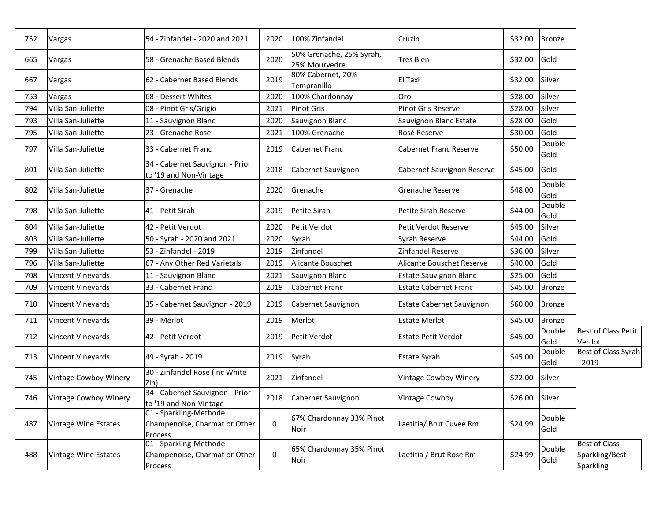| 752 | Vargas                | 54 - Zinfandel - 2020 and 2021                                     | 2020        | 100% Zinfandel                            | Cruzin                           | \$32.00        | <b>Bronze</b>  |                                                            |
|-----|-----------------------|--------------------------------------------------------------------|-------------|-------------------------------------------|----------------------------------|----------------|----------------|------------------------------------------------------------|
| 665 | Vargas                | 58 - Grenache Based Blends                                         | 2020        | 50% Grenache, 25% Syrah,<br>25% Mourvedre | <b>Tres Bien</b>                 | \$32.00        | Gold           |                                                            |
| 667 | Vargas                | 62 - Cabernet Based Blends                                         | 2019        | 80% Cabernet, 20%<br>Tempranillo          | El Taxi                          | \$32.00        | Silver         |                                                            |
| 753 | Vargas                | 68 - Dessert Whites                                                | 2020        | 100% Chardonnay                           | Oro                              | \$28.00        | Silver         |                                                            |
| 794 | Villa San-Juliette    | 08 - Pinot Gris/Grigio                                             | 2021        | <b>Pinot Gris</b>                         | <b>Pinot Gris Reserve</b>        | \$28.00        | Silver         |                                                            |
| 793 | Villa San-Juliette    | 11 - Sauvignon Blanc                                               | 2020        | Sauvignon Blanc                           | Sauvignon Blanc Estate           | \$28.00        | Gold           |                                                            |
| 795 | Villa San-Juliette    | 23 - Grenache Rose                                                 | 2021        | 100% Grenache                             | Rosé Reserve                     | \$30.00        | Gold           |                                                            |
| 797 | Villa San-Juliette    | 33 - Cabernet Franc                                                | 2019        | Cabernet Franc                            | <b>Cabernet Franc Reserve</b>    | \$50.00        | Double<br>Gold |                                                            |
| 801 | Villa San-Juliette    | 34 - Cabernet Sauvignon - Prior<br>to '19 and Non-Vintage          | 2018        | Cabernet Sauvignon                        | Cabernet Sauvignon Reserve       | \$45.00        | Gold           |                                                            |
| 802 | Villa San-Juliette    | 37 - Grenache                                                      | 2020        | Grenache                                  | <b>I</b> Grenache Reserve        | \$48.00        | Double<br>Gold |                                                            |
| 798 | Villa San-Juliette    | 41 - Petit Sirah                                                   | 2019        | Petite Sirah                              | Petite Sirah Reserve             | \$44.00        | Double<br>Gold |                                                            |
| 804 | Villa San-Juliette    | 42 - Petit Verdot                                                  | 2020        | Petit Verdot                              | <b>Petit Verdot Reserve</b>      | \$45.00        | Silver         |                                                            |
| 803 | Villa San-Juliette    | 50 - Syrah - 2020 and 2021                                         | 2020        | Syrah                                     | Syrah Reserve                    | \$44.00        | Gold           |                                                            |
| 799 | Villa San-Juliette    | 53 - Zinfandel - 2019                                              | 2019        | Zinfandel                                 | Zinfandel Reserve                | \$36.00        | Silver         |                                                            |
| 796 | Villa San-Juliette    | 67 - Any Other Red Varietals                                       | 2019        | Alicante Bouschet                         | <b>Alicante Bouschet Reserve</b> | \$40.00        | Gold           |                                                            |
| 708 | Vincent Vineyards     | 11 - Sauvignon Blanc                                               | 2021        | Sauvignon Blanc                           | <b>Estate Sauvignon Blanc</b>    | \$25.00        | Gold           |                                                            |
| 709 | Vincent Vineyards     | 33 - Cabernet Franc                                                | 2019        | Cabernet Franc                            | <b>Estate Cabernet Franc</b>     | \$45.00        | <b>Bronze</b>  |                                                            |
| 710 | Vincent Vineyards     | 35 - Cabernet Sauvignon - 2019                                     | 2019        | Cabernet Sauvignon                        | <b>Estate Cabernet Sauvignon</b> | \$60.00        | <b>Bronze</b>  |                                                            |
| 711 | Vincent Vineyards     | 39 - Merlot                                                        | 2019        | Merlot                                    | <b>Estate Merlot</b>             | \$45.00        | <b>Bronze</b>  |                                                            |
| 712 | Vincent Vineyards     | 42 - Petit Verdot                                                  | 2019        | Petit Verdot                              | <b>Estate Petit Verdot</b>       | \$45.00        | Double<br>Gold | <b>Best of Class Petit</b><br>Verdot                       |
| 713 | Vincent Vineyards     | 49 - Syrah - 2019                                                  | 2019        | Syrah                                     | <b>Estate Syrah</b>              | \$45.00        | Double<br>Gold | <b>Best of Class Syrah</b><br>2019                         |
| 745 | Vintage Cowboy Winery | 30 - Zinfandel Rose (inc White<br>Zin)                             | 2021        | Zinfandel                                 | Vintage Cowboy Winery            | \$22.00        | Silver         |                                                            |
| 746 | Vintage Cowboy Winery | 34 - Cabernet Sauvignon - Prior<br>to '19 and Non-Vintage          | 2018        | Cabernet Sauvignon                        | <b>Vintage Cowboy</b>            | \$26.00 Silver |                |                                                            |
| 487 | Vintage Wine Estates  | 01 - Sparkling-Methode<br>Champenoise, Charmat or Other<br>Process | $\mathbf 0$ | 67% Chardonnay 33% Pinot<br>Noir          | Laetitia/ Brut Cuvee Rm          | \$24.99        | Double<br>Gold |                                                            |
| 488 | Vintage Wine Estates  | 01 - Sparkling-Methode<br>Champenoise, Charmat or Other<br>Process | $\mathbf 0$ | 65% Chardonnay 35% Pinot<br>Noir          | Laetitia / Brut Rose Rm          | \$24.99        | Double<br>Gold | <b>Best of Class</b><br>Sparkling/Best<br><b>Sparkling</b> |
|     |                       |                                                                    |             |                                           |                                  |                |                |                                                            |